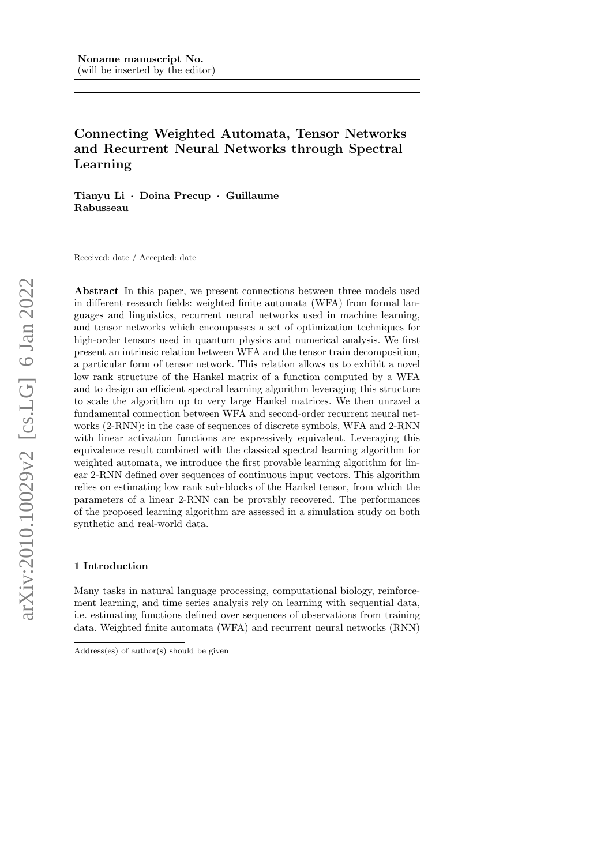# Connecting Weighted Automata, Tensor Networks and Recurrent Neural Networks through Spectral Learning

Tianyu Li · Doina Precup · Guillaume Rabusseau

Received: date / Accepted: date

Abstract In this paper, we present connections between three models used in different research fields: weighted finite automata (WFA) from formal languages and linguistics, recurrent neural networks used in machine learning, and tensor networks which encompasses a set of optimization techniques for high-order tensors used in quantum physics and numerical analysis. We first present an intrinsic relation between WFA and the tensor train decomposition, a particular form of tensor network. This relation allows us to exhibit a novel low rank structure of the Hankel matrix of a function computed by a WFA and to design an efficient spectral learning algorithm leveraging this structure to scale the algorithm up to very large Hankel matrices. We then unravel a fundamental connection between WFA and second-order recurrent neural networks (2-RNN): in the case of sequences of discrete symbols, WFA and 2-RNN with linear activation functions are expressively equivalent. Leveraging this equivalence result combined with the classical spectral learning algorithm for weighted automata, we introduce the first provable learning algorithm for linear 2-RNN defined over sequences of continuous input vectors. This algorithm relies on estimating low rank sub-blocks of the Hankel tensor, from which the parameters of a linear 2-RNN can be provably recovered. The performances of the proposed learning algorithm are assessed in a simulation study on both synthetic and real-world data.

### 1 Introduction

Many tasks in natural language processing, computational biology, reinforcement learning, and time series analysis rely on learning with sequential data, i.e. estimating functions defined over sequences of observations from training data. Weighted finite automata (WFA) and recurrent neural networks (RNN)

Address(es) of author(s) should be given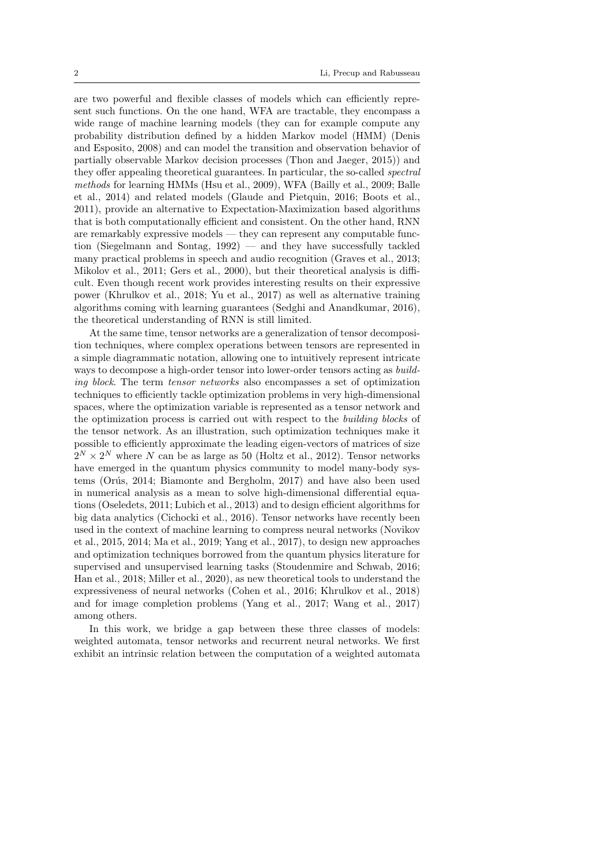are two powerful and flexible classes of models which can efficiently represent such functions. On the one hand, WFA are tractable, they encompass a wide range of machine learning models (they can for example compute any probability distribution defined by a hidden Markov model (HMM) (Denis and Esposito, 2008) and can model the transition and observation behavior of partially observable Markov decision processes (Thon and Jaeger, 2015)) and they offer appealing theoretical guarantees. In particular, the so-called spectral methods for learning HMMs (Hsu et al., 2009), WFA (Bailly et al., 2009; Balle et al., 2014) and related models (Glaude and Pietquin, 2016; Boots et al., 2011), provide an alternative to Expectation-Maximization based algorithms that is both computationally efficient and consistent. On the other hand, RNN are remarkably expressive models — they can represent any computable function (Siegelmann and Sontag, 1992) — and they have successfully tackled many practical problems in speech and audio recognition (Graves et al., 2013; Mikolov et al., 2011; Gers et al., 2000), but their theoretical analysis is difficult. Even though recent work provides interesting results on their expressive power (Khrulkov et al., 2018; Yu et al., 2017) as well as alternative training algorithms coming with learning guarantees (Sedghi and Anandkumar, 2016), the theoretical understanding of RNN is still limited.

At the same time, tensor networks are a generalization of tensor decomposition techniques, where complex operations between tensors are represented in a simple diagrammatic notation, allowing one to intuitively represent intricate ways to decompose a high-order tensor into lower-order tensors acting as *build*ing block. The term tensor networks also encompasses a set of optimization techniques to efficiently tackle optimization problems in very high-dimensional spaces, where the optimization variable is represented as a tensor network and the optimization process is carried out with respect to the building blocks of the tensor network. As an illustration, such optimization techniques make it possible to efficiently approximate the leading eigen-vectors of matrices of size  $2^N \times 2^N$  where N can be as large as 50 (Holtz et al., 2012). Tensor networks have emerged in the quantum physics community to model many-body systems (Orús, 2014; Biamonte and Bergholm, 2017) and have also been used in numerical analysis as a mean to solve high-dimensional differential equations (Oseledets, 2011; Lubich et al., 2013) and to design efficient algorithms for big data analytics (Cichocki et al., 2016). Tensor networks have recently been used in the context of machine learning to compress neural networks (Novikov et al., 2015, 2014; Ma et al., 2019; Yang et al., 2017), to design new approaches and optimization techniques borrowed from the quantum physics literature for supervised and unsupervised learning tasks (Stoudenmire and Schwab, 2016; Han et al., 2018; Miller et al., 2020), as new theoretical tools to understand the expressiveness of neural networks (Cohen et al., 2016; Khrulkov et al., 2018) and for image completion problems (Yang et al., 2017; Wang et al., 2017) among others.

In this work, we bridge a gap between these three classes of models: weighted automata, tensor networks and recurrent neural networks. We first exhibit an intrinsic relation between the computation of a weighted automata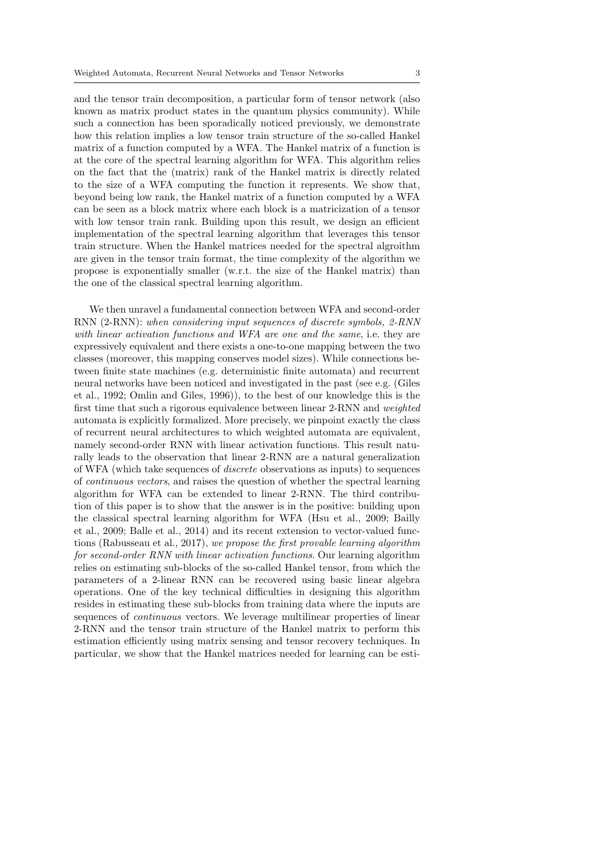and the tensor train decomposition, a particular form of tensor network (also known as matrix product states in the quantum physics community). While such a connection has been sporadically noticed previously, we demonstrate how this relation implies a low tensor train structure of the so-called Hankel matrix of a function computed by a WFA. The Hankel matrix of a function is at the core of the spectral learning algorithm for WFA. This algorithm relies on the fact that the (matrix) rank of the Hankel matrix is directly related to the size of a WFA computing the function it represents. We show that, beyond being low rank, the Hankel matrix of a function computed by a WFA can be seen as a block matrix where each block is a matricization of a tensor with low tensor train rank. Building upon this result, we design an efficient implementation of the spectral learning algorithm that leverages this tensor train structure. When the Hankel matrices needed for the spectral algroithm are given in the tensor train format, the time complexity of the algorithm we propose is exponentially smaller (w.r.t. the size of the Hankel matrix) than the one of the classical spectral learning algorithm.

We then unravel a fundamental connection between WFA and second-order RNN (2-RNN): when considering input sequences of discrete symbols, 2-RNN with linear activation functions and WFA are one and the same, i.e. they are expressively equivalent and there exists a one-to-one mapping between the two classes (moreover, this mapping conserves model sizes). While connections between finite state machines (e.g. deterministic finite automata) and recurrent neural networks have been noticed and investigated in the past (see e.g. (Giles et al., 1992; Omlin and Giles, 1996)), to the best of our knowledge this is the first time that such a rigorous equivalence between linear 2-RNN and weighted automata is explicitly formalized. More precisely, we pinpoint exactly the class of recurrent neural architectures to which weighted automata are equivalent, namely second-order RNN with linear activation functions. This result naturally leads to the observation that linear 2-RNN are a natural generalization of WFA (which take sequences of discrete observations as inputs) to sequences of continuous vectors, and raises the question of whether the spectral learning algorithm for WFA can be extended to linear 2-RNN. The third contribution of this paper is to show that the answer is in the positive: building upon the classical spectral learning algorithm for WFA (Hsu et al., 2009; Bailly et al., 2009; Balle et al., 2014) and its recent extension to vector-valued functions (Rabusseau et al., 2017), we propose the first provable learning algorithm for second-order RNN with linear activation functions. Our learning algorithm relies on estimating sub-blocks of the so-called Hankel tensor, from which the parameters of a 2-linear RNN can be recovered using basic linear algebra operations. One of the key technical difficulties in designing this algorithm resides in estimating these sub-blocks from training data where the inputs are sequences of continuous vectors. We leverage multilinear properties of linear 2-RNN and the tensor train structure of the Hankel matrix to perform this estimation efficiently using matrix sensing and tensor recovery techniques. In particular, we show that the Hankel matrices needed for learning can be esti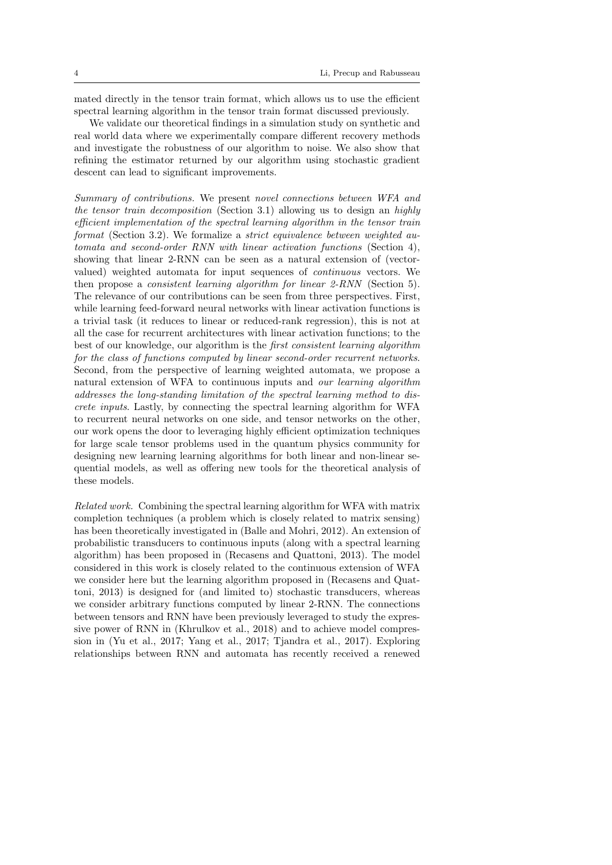mated directly in the tensor train format, which allows us to use the efficient spectral learning algorithm in the tensor train format discussed previously.

We validate our theoretical findings in a simulation study on synthetic and real world data where we experimentally compare different recovery methods and investigate the robustness of our algorithm to noise. We also show that refining the estimator returned by our algorithm using stochastic gradient descent can lead to significant improvements.

Summary of contributions. We present novel connections between WFA and the tensor train decomposition (Section 3.1) allowing us to design an highly efficient implementation of the spectral learning algorithm in the tensor train format (Section 3.2). We formalize a strict equivalence between weighted automata and second-order RNN with linear activation functions (Section 4), showing that linear 2-RNN can be seen as a natural extension of (vectorvalued) weighted automata for input sequences of continuous vectors. We then propose a consistent learning algorithm for linear 2-RNN (Section 5). The relevance of our contributions can be seen from three perspectives. First, while learning feed-forward neural networks with linear activation functions is a trivial task (it reduces to linear or reduced-rank regression), this is not at all the case for recurrent architectures with linear activation functions; to the best of our knowledge, our algorithm is the first consistent learning algorithm for the class of functions computed by linear second-order recurrent networks. Second, from the perspective of learning weighted automata, we propose a natural extension of WFA to continuous inputs and our learning algorithm addresses the long-standing limitation of the spectral learning method to discrete inputs. Lastly, by connecting the spectral learning algorithm for WFA to recurrent neural networks on one side, and tensor networks on the other, our work opens the door to leveraging highly efficient optimization techniques for large scale tensor problems used in the quantum physics community for designing new learning learning algorithms for both linear and non-linear sequential models, as well as offering new tools for the theoretical analysis of these models.

Related work. Combining the spectral learning algorithm for WFA with matrix completion techniques (a problem which is closely related to matrix sensing) has been theoretically investigated in (Balle and Mohri, 2012). An extension of probabilistic transducers to continuous inputs (along with a spectral learning algorithm) has been proposed in (Recasens and Quattoni, 2013). The model considered in this work is closely related to the continuous extension of WFA we consider here but the learning algorithm proposed in (Recasens and Quattoni, 2013) is designed for (and limited to) stochastic transducers, whereas we consider arbitrary functions computed by linear 2-RNN. The connections between tensors and RNN have been previously leveraged to study the expressive power of RNN in (Khrulkov et al., 2018) and to achieve model compression in (Yu et al., 2017; Yang et al., 2017; Tjandra et al., 2017). Exploring relationships between RNN and automata has recently received a renewed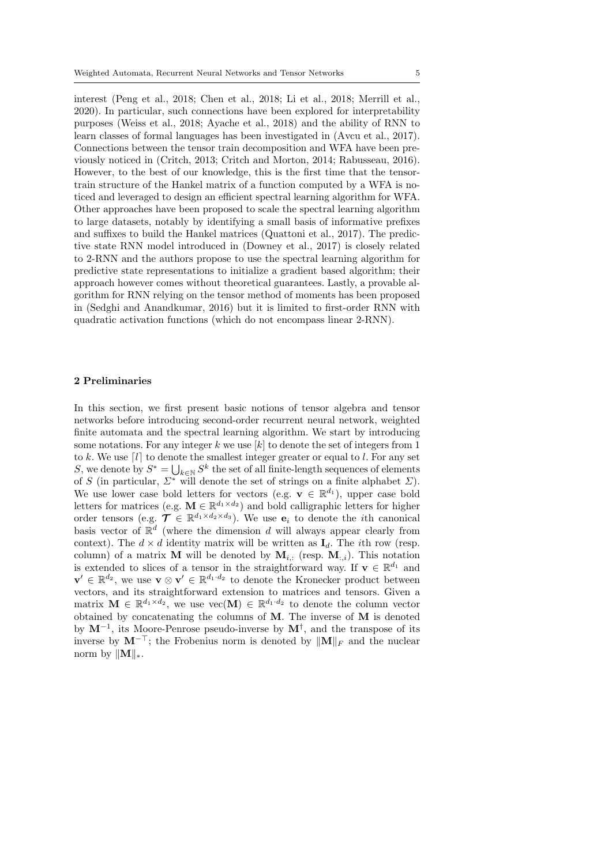interest (Peng et al., 2018; Chen et al., 2018; Li et al., 2018; Merrill et al., 2020). In particular, such connections have been explored for interpretability purposes (Weiss et al., 2018; Ayache et al., 2018) and the ability of RNN to learn classes of formal languages has been investigated in (Avcu et al., 2017). Connections between the tensor train decomposition and WFA have been previously noticed in (Critch, 2013; Critch and Morton, 2014; Rabusseau, 2016). However, to the best of our knowledge, this is the first time that the tensortrain structure of the Hankel matrix of a function computed by a WFA is noticed and leveraged to design an efficient spectral learning algorithm for WFA. Other approaches have been proposed to scale the spectral learning algorithm to large datasets, notably by identifying a small basis of informative prefixes and suffixes to build the Hankel matrices (Quattoni et al., 2017). The predictive state RNN model introduced in (Downey et al., 2017) is closely related to 2-RNN and the authors propose to use the spectral learning algorithm for predictive state representations to initialize a gradient based algorithm; their approach however comes without theoretical guarantees. Lastly, a provable algorithm for RNN relying on the tensor method of moments has been proposed in (Sedghi and Anandkumar, 2016) but it is limited to first-order RNN with quadratic activation functions (which do not encompass linear 2-RNN).

### 2 Preliminaries

In this section, we first present basic notions of tensor algebra and tensor networks before introducing second-order recurrent neural network, weighted finite automata and the spectral learning algorithm. We start by introducing some notations. For any integer  $k$  we use  $[k]$  to denote the set of integers from 1 to k. We use  $\lceil l \rceil$  to denote the smallest integer greater or equal to l. For any set S, we denote by  $S^* = \bigcup_{k \in \mathbb{N}} S^k$  the set of all finite-length sequences of elements of S (in particular,  $\Sigma^*$  will denote the set of strings on a finite alphabet  $\Sigma$ ). We use lower case bold letters for vectors (e.g.  $\mathbf{v} \in \mathbb{R}^{d_1}$ ), upper case bold letters for matrices (e.g.  $\mathbf{M} \in \mathbb{R}^{d_1 \times d_2}$ ) and bold calligraphic letters for higher order tensors (e.g.  $\mathcal{T} \in \mathbb{R}^{d_1 \times d_2 \times d_3}$ ). We use  $e_i$  to denote the *i*th canonical basis vector of  $\mathbb{R}^d$  (where the dimension d will always appear clearly from context). The  $d \times d$  identity matrix will be written as  $\mathbf{I}_d$ . The *i*th row (resp. column) of a matrix **M** will be denoted by  $M_{i,:}$  (resp.  $M_{:,i}$ ). This notation is extended to slices of a tensor in the straightforward way. If  $\mathbf{v} \in \mathbb{R}^{d_1}$  and  $\mathbf{v}' \in \mathbb{R}^{d_2}$ , we use  $\mathbf{v} \otimes \mathbf{v}' \in \mathbb{R}^{d_1 \cdot d_2}$  to denote the Kronecker product between vectors, and its straightforward extension to matrices and tensors. Given a matrix  $\mathbf{M} \in \mathbb{R}^{d_1 \times d_2}$ , we use  $\text{vec}(\mathbf{M}) \in \mathbb{R}^{d_1 \cdot d_2}$  to denote the column vector obtained by concatenating the columns of  $M$ . The inverse of  $M$  is denoted by  $M^{-1}$ , its Moore-Penrose pseudo-inverse by  $M^{\dagger}$ , and the transpose of its inverse by  $M^{-\top}$ ; the Frobenius norm is denoted by  $||M||_F$  and the nuclear norm by  $||\mathbf{M}||_*$ .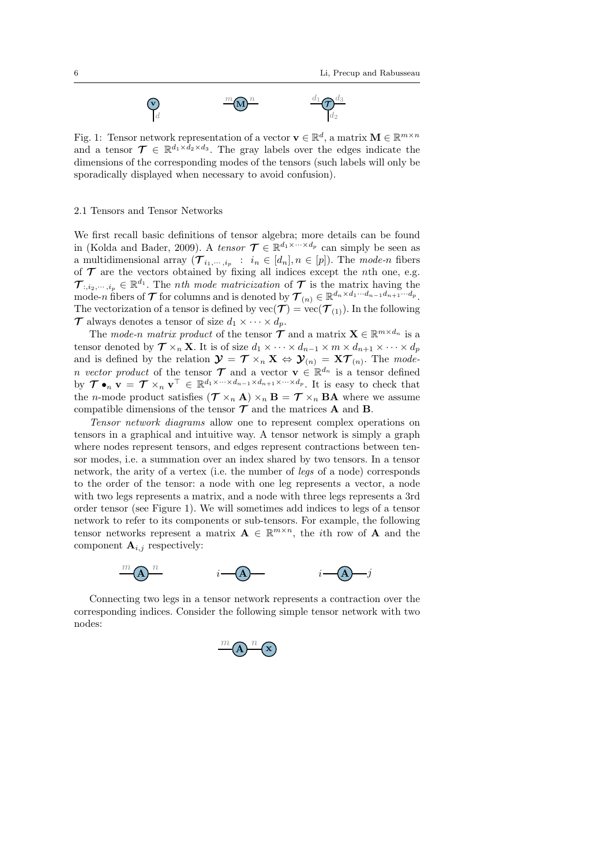

Fig. 1: Tensor network representation of a vector  $\mathbf{v} \in \mathbb{R}^d$ , a matrix  $\mathbf{M} \in \mathbb{R}^{m \times n}$ and a tensor  $\mathcal{T} \in \mathbb{R}^{d_1 \times d_2 \times d_3}$ . The gray labels over the edges indicate the dimensions of the corresponding modes of the tensors (such labels will only be sporadically displayed when necessary to avoid confusion).

# 2.1 Tensors and Tensor Networks

We first recall basic definitions of tensor algebra; more details can be found in (Kolda and Bader, 2009). A tensor  $\mathcal{T} \in \mathbb{R}^{d_1 \times \cdots \times d_p}$  can simply be seen as a multidimensional array  $(\mathcal{T}_{i_1,\dots,i_p} : i_n \in [d_n], n \in [p])$ . The mode-n fibers of  $\mathcal T$  are the vectors obtained by fixing all indices except the *n*th one, e.g.  $\mathcal{T}_{:,i_2,\dots,i_p} \in \mathbb{R}^{d_1}$ . The *nth mode matricization* of  $\mathcal T$  is the matrix having the mode-n fibers of  $\mathcal T$  for columns and is denoted by  $\mathcal T_{(n)} \in \mathbb R^{d_n \times d_1 \cdots d_{n-1} d_{n+1} \cdots d_p}$ . The vectorization of a tensor is defined by  $\text{vec}(\mathcal{T}) = \text{vec}(\mathcal{T}_{(1)})$ . In the following  $\mathcal{T}$  always denotes a tensor of size  $d_1 \times \cdots \times d_p$ .

The mode-n matrix product of the tensor  $\mathcal{T}$  and a matrix  $\mathbf{X} \in \mathbb{R}^{m \times d_n}$  is a tensor denoted by  $\mathcal{T} \times_n \mathbf{X}$ . It is of size  $d_1 \times \cdots \times d_{n-1} \times m \times d_{n+1} \times \cdots \times d_p$ and is defined by the relation  $\mathbf{\mathcal{Y}} = \mathbf{\mathcal{T}} \times_n \mathbf{X} \Leftrightarrow \mathbf{\mathcal{Y}}_{(n)} = \mathbf{X} \mathbf{\mathcal{T}}_{(n)}$ . The moden vector product of the tensor  $\mathcal{T}$  and a vector  $\mathbf{v} \in \mathbb{R}^{d_n}$  is a tensor defined by  $\mathcal{T} \bullet_n \mathbf{v} = \mathcal{T} \times_n \mathbf{v}^\top \in \mathbb{R}^{d_1 \times \cdots \times d_{n-1} \times d_{n+1} \times \cdots \times d_p}$ . It is easy to check that the *n*-mode product satisfies  $(\mathcal{T} \times_n \mathbf{A}) \times_n \mathbf{B} = \mathcal{T} \times_n \mathbf{B} \mathbf{A}$  where we assume compatible dimensions of the tensor  $\mathcal T$  and the matrices **A** and **B**.

Tensor network diagrams allow one to represent complex operations on tensors in a graphical and intuitive way. A tensor network is simply a graph where nodes represent tensors, and edges represent contractions between tensor modes, i.e. a summation over an index shared by two tensors. In a tensor network, the arity of a vertex (i.e. the number of legs of a node) corresponds to the order of the tensor: a node with one leg represents a vector, a node with two legs represents a matrix, and a node with three legs represents a 3rd order tensor (see Figure 1). We will sometimes add indices to legs of a tensor network to refer to its components or sub-tensors. For example, the following tensor networks represent a matrix  $\mathbf{A} \in \mathbb{R}^{m \times n}$ , the *i*th row of **A** and the component  $\mathbf{A}_{i,j}$  respectively:



Connecting two legs in a tensor network represents a contraction over the corresponding indices. Consider the following simple tensor network with two nodes:

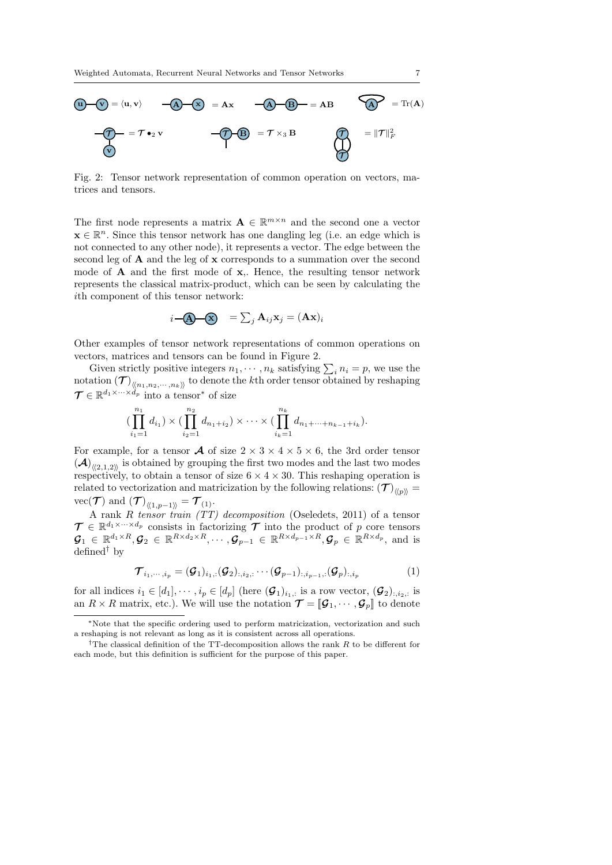

Fig. 2: Tensor network representation of common operation on vectors, matrices and tensors.

The first node represents a matrix  $\mathbf{A} \in \mathbb{R}^{m \times n}$  and the second one a vector  $\mathbf{x} \in \mathbb{R}^n$ . Since this tensor network has one dangling leg (i.e. an edge which is not connected to any other node), it represents a vector. The edge between the second leg of  $A$  and the leg of  $x$  corresponds to a summation over the second mode of  $A$  and the first mode of  $x$ ,. Hence, the resulting tensor network represents the classical matrix-product, which can be seen by calculating the ith component of this tensor network:

$$
i\mathbf{-} \mathbf{A} \mathbf{-} \mathbf{X} \quad = \sum_j \mathbf{A}_{ij} \mathbf{x}_j = (\mathbf{A} \mathbf{x})_i
$$

Other examples of tensor network representations of common operations on vectors, matrices and tensors can be found in Figure 2.

Given strictly positive integers  $n_1, \dots, n_k$  satisfying  $\sum_i n_i = p$ , we use the  $\text{notation}\left(\mathcal{T}\right)_{\langle\!\langle n_1,n_2,\cdots,n_k\rangle\!\rangle}$  to denote the  $k\text{th}$  order tensor obtained by reshaping  $\mathcal{T} \in \mathbb{R}^{d_1 \times \cdots \times d_p}$  into a tensor<sup>\*</sup> of size

$$
(\prod_{i_1=1}^{n_1} d_{i_1}) \times (\prod_{i_2=1}^{n_2} d_{n_1+i_2}) \times \cdots \times (\prod_{i_k=1}^{n_k} d_{n_1+\cdots+n_{k-1}+i_k}).
$$

For example, for a tensor **A** of size  $2 \times 3 \times 4 \times 5 \times 6$ , the 3rd order tensor  $(\mathcal{A})_{\langle\langle 2,1,2\rangle\rangle}$  is obtained by grouping the first two modes and the last two modes respectively, to obtain a tensor of size  $6 \times 4 \times 30$ . This reshaping operation is related to vectorization and matricization by the following relations:  $(\mathcal{T})_{\langle\!\langle p\rangle\!\rangle} =$  $\text{vec}(\mathcal{T}) \text{ and } (\mathcal{T})_{\langle\!\langle 1,p-1\rangle\!\rangle} = \mathcal{T}_{(1)}.$ 

A rank  $R$  tensor train  $(TT)$  decomposition (Oseledets, 2011) of a tensor  $\mathcal{T} \in \mathbb{R}^{d_1 \times \cdots \times d_p}$  consists in factorizing  $\mathcal{T}$  into the product of p core tensors  $\mathcal{G}_1 \in \mathbb{R}^{d_1 \times R}, \mathcal{G}_2 \in \mathbb{R}^{R \times d_2 \times R}, \cdots, \mathcal{G}_{p-1} \in \mathbb{R}^{R \times d_{p-1} \times R}, \mathcal{G}_p \in \mathbb{R}^{R \times d_p},$  and is  $defined<sup>†</sup>$  by

$$
\mathcal{T}_{i_1,\dots,i_p} = (\mathcal{G}_1)_{i_1,:} (\mathcal{G}_2)_{:,i_2,:} \cdots (\mathcal{G}_{p-1})_{:,i_{p-1},:} (\mathcal{G}_p)_{:,i_p}
$$
(1)

for all indices  $i_1 \in [d_1], \dots, i_p \in [d_p]$  (here  $(\mathcal{G}_1)_{i_1,:}$  is a row vector,  $(\mathcal{G}_2)_{:,i_2,:}$  is an  $R \times R$  matrix, etc.). We will use the notation  $\mathcal{T} = [\mathcal{G}_1, \cdots, \mathcal{G}_p]$  to denote

<sup>∗</sup>Note that the specific ordering used to perform matricization, vectorization and such a reshaping is not relevant as long as it is consistent across all operations.

<sup>&</sup>lt;sup>†</sup>The classical definition of the TT-decomposition allows the rank  $R$  to be different for each mode, but this definition is sufficient for the purpose of this paper.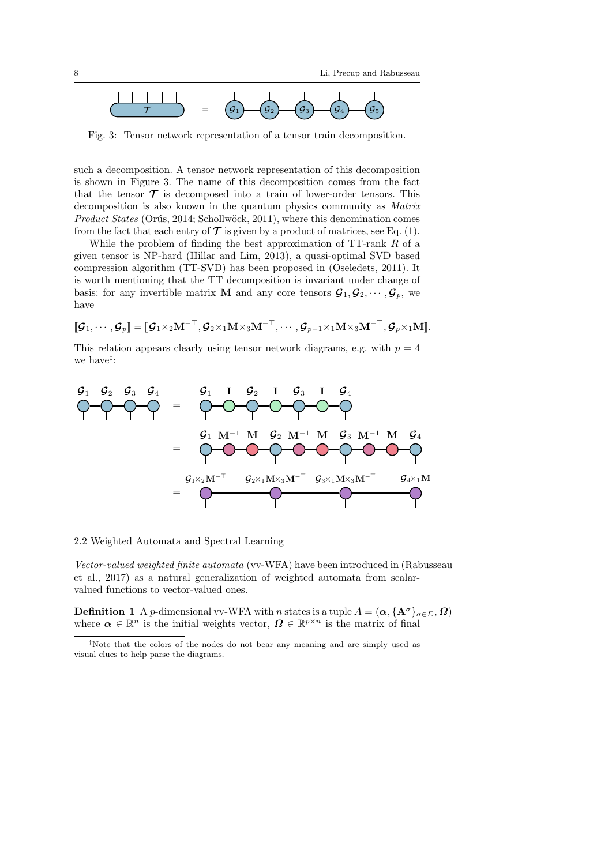

Fig. 3: Tensor network representation of a tensor train decomposition.

such a decomposition. A tensor network representation of this decomposition is shown in Figure 3. The name of this decomposition comes from the fact that the tensor  $\mathcal T$  is decomposed into a train of lower-order tensors. This decomposition is also known in the quantum physics community as Matrix Product States (Orús, 2014; Schollwöck, 2011), where this denomination comes from the fact that each entry of  $\mathcal T$  is given by a product of matrices, see Eq. (1).

While the problem of finding the best approximation of  $TT$ -rank  $R$  of a given tensor is NP-hard (Hillar and Lim, 2013), a quasi-optimal SVD based compression algorithm (TT-SVD) has been proposed in (Oseledets, 2011). It is worth mentioning that the TT decomposition is invariant under change of basis: for any invertible matrix **M** and any core tensors  $\mathcal{G}_1, \mathcal{G}_2, \cdots, \mathcal{G}_p$ , we have

 $\llbracket \mathcal{G}_1, \cdots, \mathcal{G}_n \rrbracket = \llbracket \mathcal{G}_1 \times_2 \mathbf{M}^{-\top}, \mathcal{G}_2 \times_1 \mathbf{M} \times_3 \mathbf{M}^{-\top}, \cdots, \mathcal{G}_{n-1} \times_1 \mathbf{M} \times_3 \mathbf{M}^{-\top}, \mathcal{G}_n \times_1 \mathbf{M} \rrbracket.$ 

This relation appears clearly using tensor network diagrams, e.g. with  $p = 4$ we have<sup> $\ddagger$ </sup>:



2.2 Weighted Automata and Spectral Learning

Vector-valued weighted finite automata (vv-WFA) have been introduced in (Rabusseau et al., 2017) as a natural generalization of weighted automata from scalarvalued functions to vector-valued ones.

**Definition 1** A p-dimensional vv-WFA with n states is a tuple  $A = (\alpha, {\mathbf{A}^{\sigma}}_{\sigma \in \Sigma}, \Omega)$ where  $\alpha \in \mathbb{R}^n$  is the initial weights vector,  $\Omega \in \mathbb{R}^{p \times n}$  is the matrix of final

<sup>‡</sup>Note that the colors of the nodes do not bear any meaning and are simply used as visual clues to help parse the diagrams.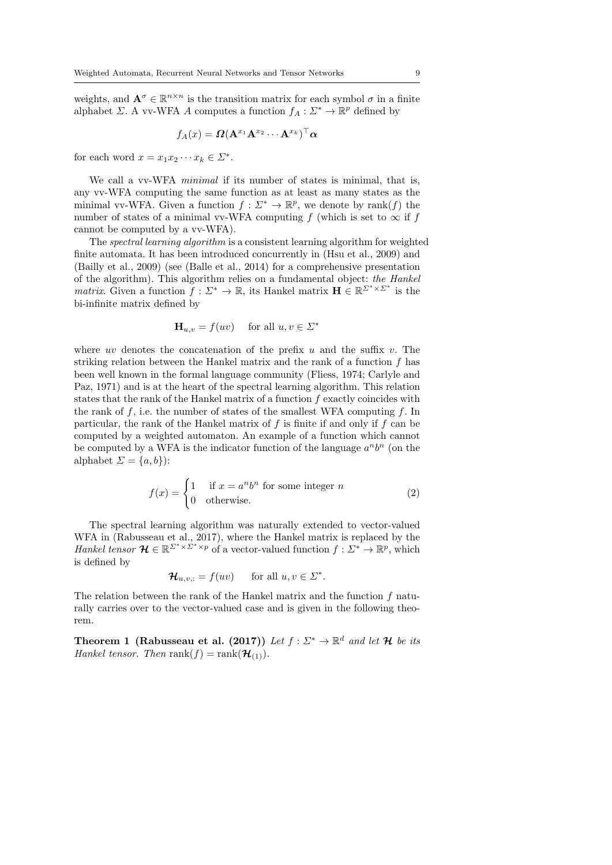weights, and  $\mathbf{A}^{\sigma} \in \mathbb{R}^{n \times n}$  is the transition matrix for each symbol  $\sigma$  in a finite alphabet  $\Sigma$ . A vv-WFA A computes a function  $f_A: \Sigma^* \to \mathbb{R}^p$  defined by

$$
f_A(x) = \mathbf{\Omega}(\mathbf{A}^{x_1}\mathbf{A}^{x_2}\cdots \mathbf{A}^{x_k})^\top \boldsymbol{\alpha}
$$

for each word  $x = x_1 x_2 \cdots x_k \in \Sigma^*$ .

We call a vv-WFA *minimal* if its number of states is minimal, that is, any vv-WFA computing the same function as at least as many states as the minimal vv-WFA. Given a function  $f: \Sigma^* \to \mathbb{R}^p$ , we denote by rank $(f)$  the number of states of a minimal vv-WFA computing f (which is set to  $\infty$  if f cannot be computed by a vv-WFA).

The spectral learning algorithm is a consistent learning algorithm for weighted finite automata. It has been introduced concurrently in (Hsu et al., 2009) and (Bailly et al., 2009) (see (Balle et al., 2014) for a comprehensive presentation of the algorithm). This algorithm relies on a fundamental object: the Hankel *matrix*. Given a function  $\tilde{f}: \Sigma^* \to \mathbb{R}$ , its Hankel matrix  $\mathbf{H} \in \mathbb{R}^{\Sigma^* \times \Sigma^*}$  is the bi-infinite matrix defined by

$$
\mathbf{H}_{u,v} = f(uv) \quad \text{ for all } u, v \in \Sigma^*
$$

where uv denotes the concatenation of the prefix u and the suffix v. The striking relation between the Hankel matrix and the rank of a function f has been well known in the formal language community (Fliess, 1974; Carlyle and Paz, 1971) and is at the heart of the spectral learning algorithm. This relation states that the rank of the Hankel matrix of a function  $f$  exactly coincides with the rank of f, i.e. the number of states of the smallest WFA computing f. In particular, the rank of the Hankel matrix of  $f$  is finite if and only if  $f$  can be computed by a weighted automaton. An example of a function which cannot be computed by a WFA is the indicator function of the language  $a^n b^n$  (on the alphabet  $\Sigma = \{a, b\}$ :

$$
f(x) = \begin{cases} 1 & \text{if } x = a^n b^n \text{ for some integer } n \\ 0 & \text{otherwise.} \end{cases}
$$
 (2)

The spectral learning algorithm was naturally extended to vector-valued WFA in (Rabusseau et al., 2017), where the Hankel matrix is replaced by the Hankel tensor  $\mathcal{H} \in \mathbb{R}^{\Sigma^* \times \Sigma^* \times p}$  of a vector-valued function  $f: \Sigma^* \to \mathbb{R}^p$ , which is defined by

$$
\mathcal{H}_{u,v,:} = f(uv) \quad \text{for all } u, v \in \Sigma^*.
$$

The relation between the rank of the Hankel matrix and the function  $f$  naturally carries over to the vector-valued case and is given in the following theorem.

Theorem 1 (Rabusseau et al. (2017)) Let  $f: \Sigma^* \to \mathbb{R}^d$  and let H be its Hankel tensor. Then rank $(f) = \text{rank}(\mathcal{H}_{(1)})$ .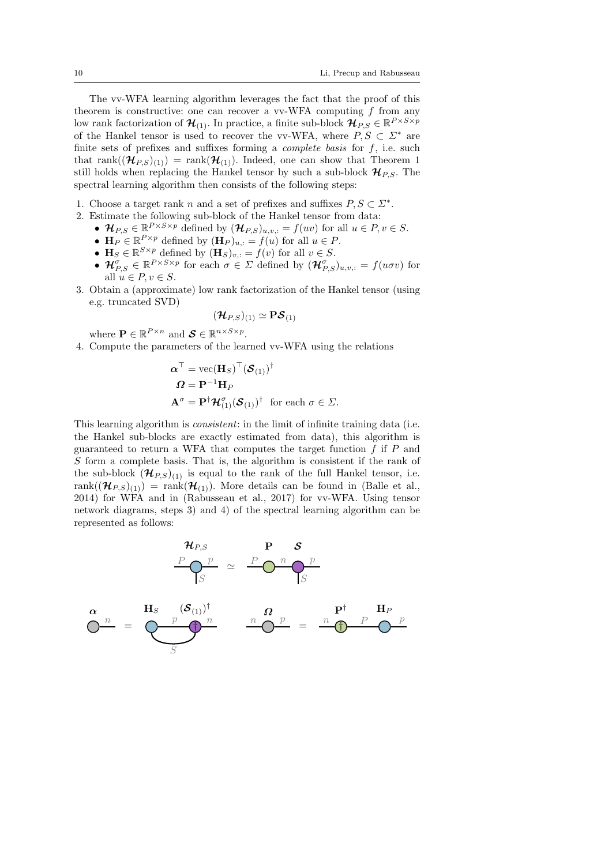The vv-WFA learning algorithm leverages the fact that the proof of this theorem is constructive: one can recover a vv-WFA computing  $f$  from any low rank factorization of  $\mathcal{H}_{(1)}$ . In practice, a finite sub-block  $\mathcal{H}_{P,S} \in \mathbb{R}^{P \times S \times p}$ of the Hankel tensor is used to recover the vv-WFA, where  $P, S \subset \Sigma^*$  are finite sets of prefixes and suffixes forming a *complete basis* for  $f$ , i.e. such that rank $((\mathcal{H}_{PS})_{(1)})$  = rank $(\mathcal{H}_{(1)})$ . Indeed, one can show that Theorem 1 still holds when replacing the Hankel tensor by such a sub-block  $\mathcal{H}_{PS}$ . The spectral learning algorithm then consists of the following steps:

- 1. Choose a target rank n and a set of prefixes and suffixes  $P, S \subset \Sigma^*$ .
- 2. Estimate the following sub-block of the Hankel tensor from data:
	- $\mathcal{H}_{P,S} \in \mathbb{R}^{P \times S \times p}$  defined by  $(\mathcal{H}_{P,S})_{u,v,:} = f(uv)$  for all  $u \in P, v \in S$ .
	- $\mathbf{H}_P \in \mathbb{R}^{P \times p}$  defined by  $(\mathbf{H}_P)_{u,:} = f(u)$  for all  $u \in P$ .
	- $\mathbf{H}_S \in \mathbb{R}^{S \times p}$  defined by  $(\mathbf{H}_S)_{v,:} = f(v)$  for all  $v \in S$ .
	- $\mathcal{H}_{P,S}^{\sigma} \in \mathbb{R}^{P \times S \times p}$  for each  $\sigma \in \Sigma$  defined by  $(\mathcal{H}_{P,S}^{\sigma})_{u,v,:} = f(u\sigma v)$  for all  $u \in P, v \in S$ .
- 3. Obtain a (approximate) low rank factorization of the Hankel tensor (using e.g. truncated SVD)

$$
(\bm{\mathcal{H}}_{P,S})_{(1)}\simeq \mathbf{P}\bm{\mathcal{S}}_{(1)}
$$

where  $\mathbf{P} \in \mathbb{R}^{P \times n}$  and  $\mathbf{S} \in \mathbb{R}^{n \times S \times p}$ .

4. Compute the parameters of the learned vv-WFA using the relations

$$
\mathbf{\alpha}^{\top} = \text{vec}(\mathbf{H}_{S})^{\top}(\mathbf{\mathcal{S}}_{(1)})^{\dagger}
$$

$$
\mathbf{\Omega} = \mathbf{P}^{-1}\mathbf{H}_{P}
$$

$$
\mathbf{A}^{\sigma} = \mathbf{P}^{\dagger}\mathbf{\mathcal{H}}_{(1)}^{\sigma}(\mathbf{\mathcal{S}}_{(1)})^{\dagger} \text{ for each } \sigma \in \Sigma.
$$

This learning algorithm is *consistent*: in the limit of infinite training data (i.e. the Hankel sub-blocks are exactly estimated from data), this algorithm is guaranteed to return a WFA that computes the target function  $f$  if  $P$  and S form a complete basis. That is, the algorithm is consistent if the rank of the sub-block  $(\mathcal{H}_{P,S})_{(1)}$  is equal to the rank of the full Hankel tensor, i.e. rank $((\mathcal{H}_{P,S})_{(1)})$  = rank $(\mathcal{H}_{(1)})$ . More details can be found in (Balle et al., 2014) for WFA and in (Rabusseau et al., 2017) for vv-WFA. Using tensor network diagrams, steps 3) and 4) of the spectral learning algorithm can be represented as follows:

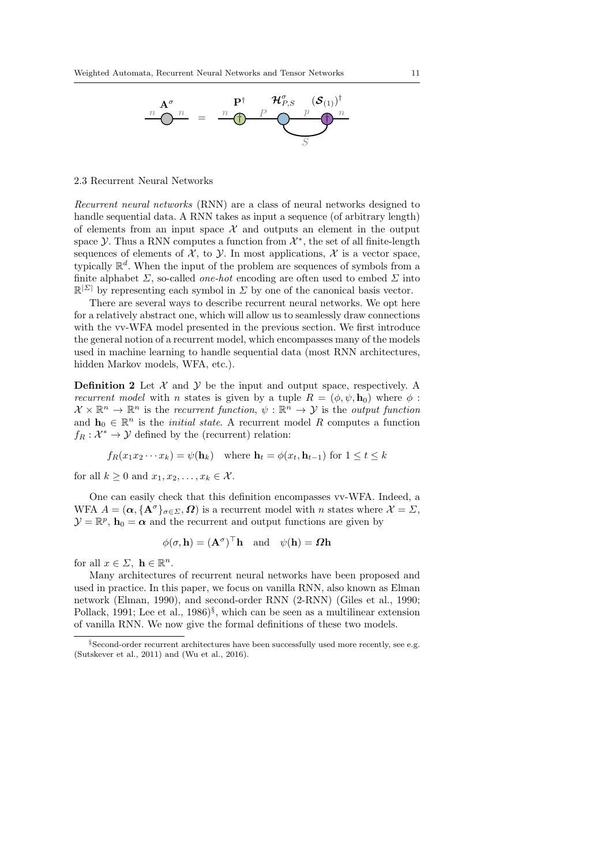

2.3 Recurrent Neural Networks

Recurrent neural networks (RNN) are a class of neural networks designed to handle sequential data. A RNN takes as input a sequence (of arbitrary length) of elements from an input space  $\mathcal X$  and outputs an element in the output space  $\mathcal Y$ . Thus a RNN computes a function from  $\mathcal X^*$ , the set of all finite-length sequences of elements of  $\mathcal{X}$ , to  $\mathcal{Y}$ . In most applications,  $\mathcal{X}$  is a vector space, typically  $\mathbb{R}^d$ . When the input of the problem are sequences of symbols from a finite alphabet  $\Sigma$ , so-called *one-hot* encoding are often used to embed  $\Sigma$  into  $\mathbb{R}^{\mathcal{Z}}$  by representing each symbol in  $\Sigma$  by one of the canonical basis vector.

There are several ways to describe recurrent neural networks. We opt here for a relatively abstract one, which will allow us to seamlessly draw connections with the vv-WFA model presented in the previous section. We first introduce the general notion of a recurrent model, which encompasses many of the models used in machine learning to handle sequential data (most RNN architectures, hidden Markov models, WFA, etc.).

**Definition 2** Let  $\mathcal{X}$  and  $\mathcal{Y}$  be the input and output space, respectively. A *recurrent model* with *n* states is given by a tuple  $R = (\phi, \psi, \mathbf{h}_0)$  where  $\phi$ :  $\mathcal{X} \times \mathbb{R}^n \to \mathbb{R}^n$  is the recurrent function,  $\psi : \mathbb{R}^n \to \mathcal{Y}$  is the output function and  $\mathbf{h}_0 \in \mathbb{R}^n$  is the *initial state*. A recurrent model R computes a function  $f_R: \mathcal{X}^* \to \mathcal{Y}$  defined by the (recurrent) relation:

$$
f_R(x_1x_2\cdots x_k) = \psi(\mathbf{h}_k)
$$
 where  $\mathbf{h}_t = \phi(x_t, \mathbf{h}_{t-1})$  for  $1 \le t \le k$ 

for all  $k \geq 0$  and  $x_1, x_2, \ldots, x_k \in \mathcal{X}$ .

One can easily check that this definition encompasses vv-WFA. Indeed, a WFA  $A = (\alpha, {\mathbf{A}^\sigma}_{\sigma \in \Sigma}, \Omega)$  is a recurrent model with *n* states where  $\mathcal{X} = \Sigma$ ,  $\mathcal{Y} = \mathbb{R}^p$ ,  $\mathbf{h}_0 = \alpha$  and the recurrent and output functions are given by

$$
\phi(\sigma, \mathbf{h}) = (\mathbf{A}^{\sigma})^{\top} \mathbf{h}
$$
 and  $\psi(\mathbf{h}) = \Omega \mathbf{h}$ 

for all  $x \in \Sigma$ ,  $\mathbf{h} \in \mathbb{R}^n$ .

Many architectures of recurrent neural networks have been proposed and used in practice. In this paper, we focus on vanilla RNN, also known as Elman network (Elman, 1990), and second-order RNN (2-RNN) (Giles et al., 1990; Pollack, 1991; Lee et al., 1986)<sup>§</sup>, which can be seen as a multilinear extension of vanilla RNN. We now give the formal definitions of these two models.

<sup>§</sup>Second-order recurrent architectures have been successfully used more recently, see e.g. (Sutskever et al., 2011) and (Wu et al., 2016).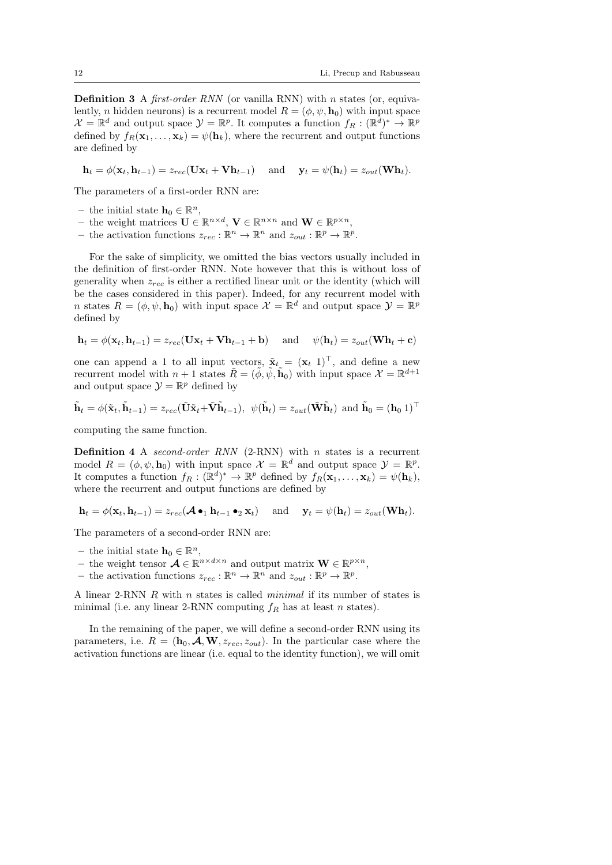**Definition 3** A *first-order RNN* (or vanilla RNN) with *n* states (or, equivalently, *n* hidden neurons) is a recurrent model  $R = (\phi, \psi, \mathbf{h}_0)$  with input space  $\mathcal{X} = \mathbb{R}^d$  and output space  $\mathcal{Y} = \mathbb{R}^p$ . It computes a function  $f_R : (\mathbb{R}^d)^* \to \mathbb{R}^p$ defined by  $f_R(\mathbf{x}_1,\ldots,\mathbf{x}_k) = \psi(\mathbf{h}_k)$ , where the recurrent and output functions are defined by

 $\mathbf{h}_t = \phi(\mathbf{x}_t, \mathbf{h}_{t-1}) = z_{rec}(\mathbf{U}\mathbf{x}_t + \mathbf{V}\mathbf{h}_{t-1})$  and  $\mathbf{y}_t = \psi(\mathbf{h}_t) = z_{out}(\mathbf{W}\mathbf{h}_t).$ 

The parameters of a first-order RNN are:

- the initial state  $\mathbf{h}_0 \in \mathbb{R}^n$ ,
- the weight matrices **U** ∈  $\mathbb{R}^{n \times d}$ , **V** ∈  $\mathbb{R}^{n \times n}$  and **W** ∈  $\mathbb{R}^{p \times n}$ ,
- the activation functions  $z_{rec} : \mathbb{R}^n \to \mathbb{R}^n$  and  $z_{out} : \mathbb{R}^p \to \mathbb{R}^p$ .

For the sake of simplicity, we omitted the bias vectors usually included in the definition of first-order RNN. Note however that this is without loss of generality when  $z_{rec}$  is either a rectified linear unit or the identity (which will be the cases considered in this paper). Indeed, for any recurrent model with n states  $R = (\phi, \psi, \mathbf{h}_0)$  with input space  $\mathcal{X} = \mathbb{R}^d$  and output space  $\mathcal{Y} = \mathbb{R}^p$ defined by

$$
\mathbf{h}_t = \phi(\mathbf{x}_t, \mathbf{h}_{t-1}) = z_{rec}(\mathbf{U}\mathbf{x}_t + \mathbf{V}\mathbf{h}_{t-1} + \mathbf{b}) \quad \text{ and } \quad \psi(\mathbf{h}_t) = z_{out}(\mathbf{W}\mathbf{h}_t + \mathbf{c})
$$

one can append a 1 to all input vectors,  $\tilde{\mathbf{x}}_t = (\mathbf{x}_t \; 1)^{\top}$ , and define a new recurrent model with  $n+1$  states  $\tilde{R} = (\tilde{\phi}, \tilde{\psi}, \tilde{\mathbf{h}}_0)$  with input space  $\mathcal{X} = \mathbb{R}^{d+1}$ and output space  $\mathcal{Y} = \mathbb{R}^p$  defined by

$$
\tilde{\mathbf{h}}_t = \phi(\tilde{\mathbf{x}}_t, \tilde{\mathbf{h}}_{t-1}) = z_{rec}(\tilde{\mathbf{U}}\tilde{\mathbf{x}}_t + \tilde{\mathbf{V}}\tilde{\mathbf{h}}_{t-1}), \ \ \psi(\tilde{\mathbf{h}}_t) = z_{out}(\tilde{\mathbf{W}}\tilde{\mathbf{h}}_t) \ \ \text{and} \ \ \tilde{\mathbf{h}}_0 = (\mathbf{h}_0 \ 1)^{\top}
$$

computing the same function.

**Definition 4** A second-order RNN  $(2-RNN)$  with n states is a recurrent model  $R = (\phi, \psi, \mathbf{h}_0)$  with input space  $\mathcal{X} = \mathbb{R}^d$  and output space  $\mathcal{Y} = \mathbb{R}^p$ . It computes a function  $f_R : (\mathbb{R}^d)^* \to \mathbb{R}^p$  defined by  $f_R(\mathbf{x}_1, \ldots, \mathbf{x}_k) = \psi(\mathbf{h}_k)$ , where the recurrent and output functions are defined by

 $h_t = \phi(\mathbf{x}_t, \mathbf{h}_{t-1}) = z_{rec}(\mathcal{A} \bullet_1 \mathbf{h}_{t-1} \bullet_2 \mathbf{x}_t)$  and  $\mathbf{y}_t = \psi(\mathbf{h}_t) = z_{out}(\mathbf{W}\mathbf{h}_t).$ 

The parameters of a second-order RNN are:

- the initial state  $\mathbf{h}_0 \in \mathbb{R}^n$ ,
- the weight tensor  $\mathcal{A} \in \mathbb{R}^{n \times d \times n}$  and output matrix  $\mathbf{W} \in \mathbb{R}^{p \times n}$ ,
- the activation functions  $z_{rec} : \mathbb{R}^n \to \mathbb{R}^n$  and  $z_{out} : \mathbb{R}^p \to \mathbb{R}^p$ .

A linear 2-RNN R with n states is called minimal if its number of states is minimal (i.e. any linear 2-RNN computing  $f_R$  has at least n states).

In the remaining of the paper, we will define a second-order RNN using its parameters, i.e.  $R = (\mathbf{h}_0, \mathcal{A}, \mathbf{W}, z_{rec}, z_{out})$ . In the particular case where the activation functions are linear (i.e. equal to the identity function), we will omit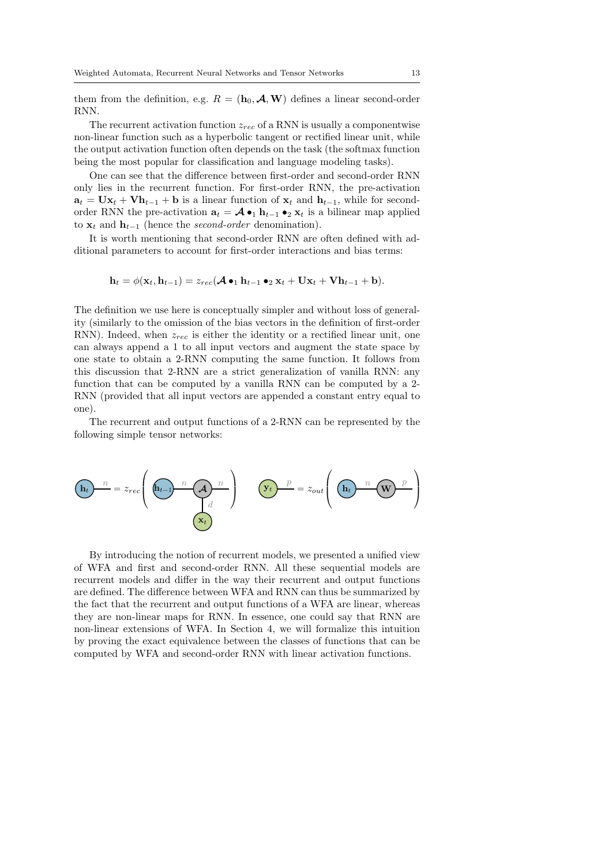them from the definition, e.g.  $R = (\mathbf{h}_0, \mathcal{A}, \mathbf{W})$  defines a linear second-order RNN.

The recurrent activation function  $z_{rec}$  of a RNN is usually a componentwise non-linear function such as a hyperbolic tangent or rectified linear unit, while the output activation function often depends on the task (the softmax function being the most popular for classification and language modeling tasks).

One can see that the difference between first-order and second-order RNN only lies in the recurrent function. For first-order RNN, the pre-activation  $a_t = Ux_t + Vh_{t-1} + b$  is a linear function of  $x_t$  and  $h_{t-1}$ , while for secondorder RNN the pre-activation  $\mathbf{a}_t = \mathcal{A} \bullet_1 \mathbf{h}_{t-1} \bullet_2 \mathbf{x}_t$  is a bilinear map applied to  $\mathbf{x}_t$  and  $\mathbf{h}_{t-1}$  (hence the *second-order* denomination).

It is worth mentioning that second-order RNN are often defined with additional parameters to account for first-order interactions and bias terms:

 $h_t = \phi(\mathbf{x}_t, \mathbf{h}_{t-1}) = z_{rec}(\mathcal{A} \bullet_1 \mathbf{h}_{t-1} \bullet_2 \mathbf{x}_t + \mathbf{U}\mathbf{x}_t + \mathbf{V}\mathbf{h}_{t-1} + \mathbf{b}).$ 

The definition we use here is conceptually simpler and without loss of generality (similarly to the omission of the bias vectors in the definition of first-order RNN). Indeed, when  $z_{rec}$  is either the identity or a rectified linear unit, one can always append a 1 to all input vectors and augment the state space by one state to obtain a 2-RNN computing the same function. It follows from this discussion that 2-RNN are a strict generalization of vanilla RNN: any function that can be computed by a vanilla RNN can be computed by a 2- RNN (provided that all input vectors are appended a constant entry equal to one).

The recurrent and output functions of a 2-RNN can be represented by the following simple tensor networks:



By introducing the notion of recurrent models, we presented a unified view of WFA and first and second-order RNN. All these sequential models are recurrent models and differ in the way their recurrent and output functions are defined. The difference between WFA and RNN can thus be summarized by the fact that the recurrent and output functions of a WFA are linear, whereas they are non-linear maps for RNN. In essence, one could say that RNN are non-linear extensions of WFA. In Section 4, we will formalize this intuition by proving the exact equivalence between the classes of functions that can be computed by WFA and second-order RNN with linear activation functions.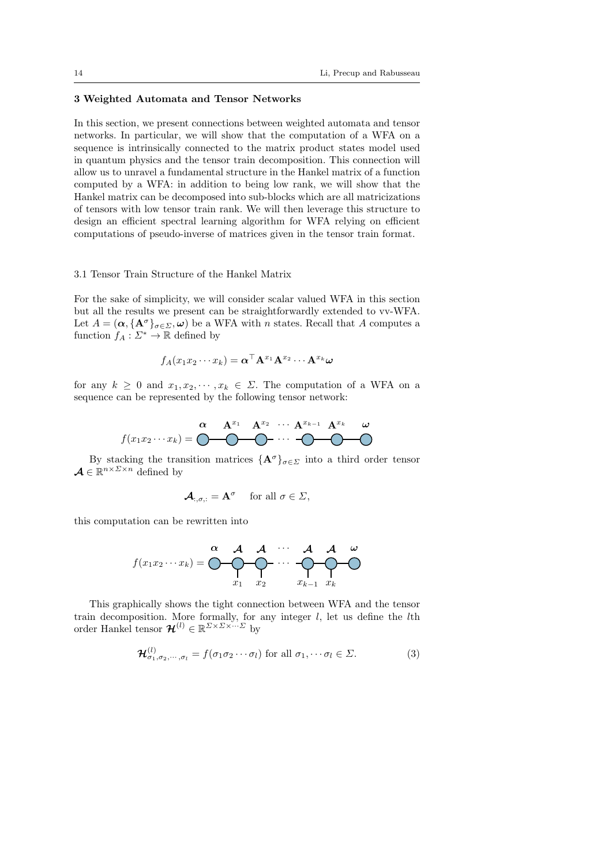# 3 Weighted Automata and Tensor Networks

In this section, we present connections between weighted automata and tensor networks. In particular, we will show that the computation of a WFA on a sequence is intrinsically connected to the matrix product states model used in quantum physics and the tensor train decomposition. This connection will allow us to unravel a fundamental structure in the Hankel matrix of a function computed by a WFA: in addition to being low rank, we will show that the Hankel matrix can be decomposed into sub-blocks which are all matricizations of tensors with low tensor train rank. We will then leverage this structure to design an efficient spectral learning algorithm for WFA relying on efficient computations of pseudo-inverse of matrices given in the tensor train format.

# 3.1 Tensor Train Structure of the Hankel Matrix

For the sake of simplicity, we will consider scalar valued WFA in this section but all the results we present can be straightforwardly extended to vv-WFA. Let  $A = (\alpha, {\mathbf{A}^\sigma}_{\sigma \in \Sigma}, \omega)$  be a WFA with *n* states. Recall that A computes a function  $f_A: \Sigma^* \to \mathbb{R}$  defined by

$$
f_A(x_1x_2\cdots x_k)=\bm{\alpha}^\top \mathbf{A}^{x_1}\mathbf{A}^{x_2}\cdots \mathbf{A}^{x_k}\bm{\omega}
$$

for any  $k \geq 0$  and  $x_1, x_2, \dots, x_k \in \Sigma$ . The computation of a WFA on a sequence can be represented by the following tensor network:

$$
f(x_1x_2\cdots x_k) = \begin{matrix} \alpha & \mathbf{A}^{x_1} & \mathbf{A}^{x_2} & \cdots & \mathbf{A}^{x_{k-1}} & \mathbf{A}^{x_k} & \omega \\ \hline \end{matrix}
$$

By stacking the transition matrices  $\{A^{\sigma}\}_{{\sigma}\in \Sigma}$  into a third order tensor  $\mathcal{A} \in \mathbb{R}^{n \times \Sigma \times n}$  defined by

$$
\mathcal{A}_{:,\sigma,:} = \mathbf{A}^{\sigma} \quad \text{ for all } \sigma \in \Sigma,
$$

this computation can be rewritten into

$$
f(x_1x_2\cdots x_k) = \bigodot \bigodot \bigodot \bigodot \bigodot \cdots \bigodot \bigodot \bigodot \cdots
$$
  

$$
x_1 \quad x_2 \qquad x_{k-1} \quad x_k
$$

This graphically shows the tight connection between WFA and the tensor train decomposition. More formally, for any integer  $l$ , let us define the  $l$ th order Hankel tensor  $\mathcal{H}^{(l)} \in \mathbb{R}^{\Sigma \times \Sigma \times \cdots \Sigma}$  by

$$
\mathcal{H}^{(l)}_{\sigma_1,\sigma_2,\cdots,\sigma_l} = f(\sigma_1\sigma_2\cdots\sigma_l) \text{ for all } \sigma_1,\cdots\sigma_l \in \Sigma.
$$
 (3)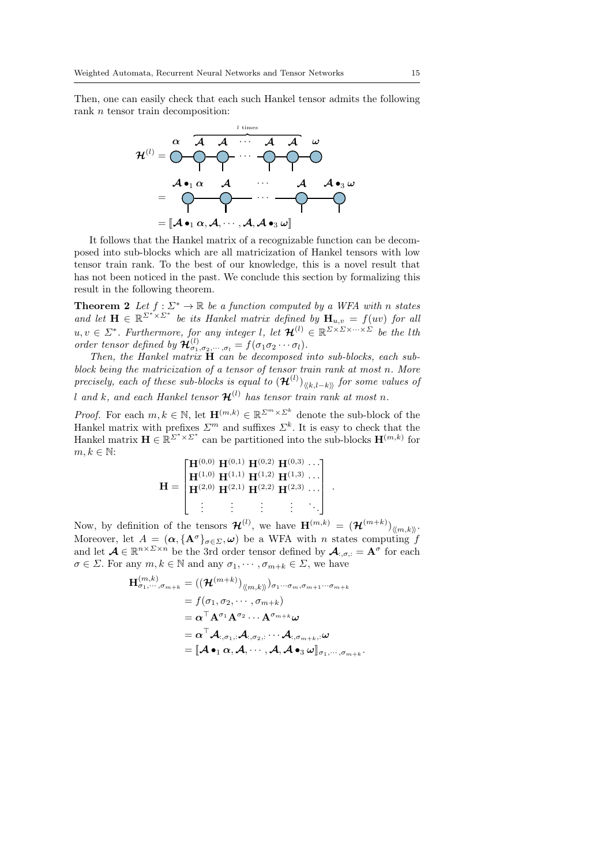Then, one can easily check that each such Hankel tensor admits the following rank *n* tensor train decomposition:



It follows that the Hankel matrix of a recognizable function can be decomposed into sub-blocks which are all matricization of Hankel tensors with low tensor train rank. To the best of our knowledge, this is a novel result that has not been noticed in the past. We conclude this section by formalizing this result in the following theorem.

**Theorem 2** Let  $f : \Sigma^* \to \mathbb{R}$  be a function computed by a WFA with n states and let  $\mathbf{H} \in \mathbb{R}^{\sum^{*} \times \sum^{*}}$  be its Hankel matrix defined by  $\mathbf{H}_{u,v} = f(uv)$  for all  $u, v \in \Sigma^*$ . Furthermore, for any integer l, let  $\mathcal{H}^{(l)} \in \mathbb{R}^{\Sigma \times \Sigma \times \cdots \times \Sigma}$  be the lth order tensor defined by  $\mathcal{H}^{(l)}_{\sigma_1,\sigma_2,\cdots,\sigma_l} = f(\sigma_1\sigma_2\cdots\sigma_l).$ 

Then, the Hankel matrix  $\tilde{H}$  can be decomposed into sub-blocks, each subblock being the matricization of a tensor of tensor train rank at most n. More precisely, each of these sub-blocks is equal to  $(\mathcal{H}^{(l)})_{\langle\langle k,l-k\rangle\rangle}$  for some values of l and k, and each Hankel tensor  $\mathcal{H}^{(l)}$  has tensor train rank at most n.

*Proof.* For each  $m, k \in \mathbb{N}$ , let  $\mathbf{H}^{(m,k)} \in \mathbb{R}^{\Sigma^m \times \Sigma^k}$  denote the sub-block of the Hankel matrix with prefixes  $\Sigma^m$  and suffixes  $\Sigma^k$ . It is easy to check that the Hankel matrix  $\mathbf{H} \in \mathbb{R}^{\Sigma^* \times \Sigma^*}$  can be partitioned into the sub-blocks  $\mathbf{H}^{(m,k)}$  for  $m, k \in \mathbb{N}$ :

$$
\mathbf{H} = \begin{bmatrix} \mathbf{H}^{(0,0)} & \mathbf{H}^{(0,1)} & \mathbf{H}^{(0,2)} & \mathbf{H}^{(0,3)} & \cdots \\ \mathbf{H}^{(1,0)} & \mathbf{H}^{(1,1)} & \mathbf{H}^{(1,2)} & \mathbf{H}^{(1,3)} & \cdots \\ \mathbf{H}^{(2,0)} & \mathbf{H}^{(2,1)} & \mathbf{H}^{(2,2)} & \mathbf{H}^{(2,3)} & \cdots \\ \vdots & \vdots & \vdots & \vdots & \ddots \end{bmatrix}.
$$

Now, by definition of the tensors  $\mathcal{H}^{(l)}$ , we have  $\mathbf{H}^{(m,k)} = (\mathcal{H}^{(m+k)})_{\langle\!\langle m,k\rangle\!\rangle}$ . Moreover, let  $A = (\alpha, \{A^{\sigma}\}_{\sigma \in \Sigma}, \omega)$  be a WFA with *n* states computing f and let  $\mathcal{A} \in \mathbb{R}^{n \times \Sigma \times n}$  be the 3rd order tensor defined by  $\mathcal{A}_{:,\sigma,:} = \mathbf{A}^{\sigma}$  for each  $\sigma \in \Sigma$ . For any  $m, k \in \mathbb{N}$  and any  $\sigma_1, \cdots, \sigma_{m+k} \in \Sigma$ , we have

$$
\mathbf{H}_{\sigma_{1},\cdots,\sigma_{m+k}}^{(m,k)} = ((\mathcal{H}^{(m+k)})_{\langle\langle m,k\rangle\rangle})_{\sigma_{1}\cdots\sigma_{m},\sigma_{m+1}\cdots\sigma_{m+k}}
$$
\n
$$
= f(\sigma_{1},\sigma_{2},\cdots,\sigma_{m+k})
$$
\n
$$
= \alpha^{\top} \mathbf{A}^{\sigma_{1}} \mathbf{A}^{\sigma_{2}} \cdots \mathbf{A}^{\sigma_{m+k}} \omega
$$
\n
$$
= \alpha^{\top} \mathbf{A}_{\cdot,\sigma_{1},\cdot} \mathbf{A}_{\cdot,\sigma_{2},\cdot} \cdots \mathbf{A}_{\cdot,\sigma_{m+k},\cdot} \omega
$$
\n
$$
= [\mathcal{A} \bullet_{1} \alpha, \mathcal{A},\cdots, \mathcal{A}, \mathcal{A} \bullet_{3} \omega]_{\sigma_{1},\cdots,\sigma_{m+k}}.
$$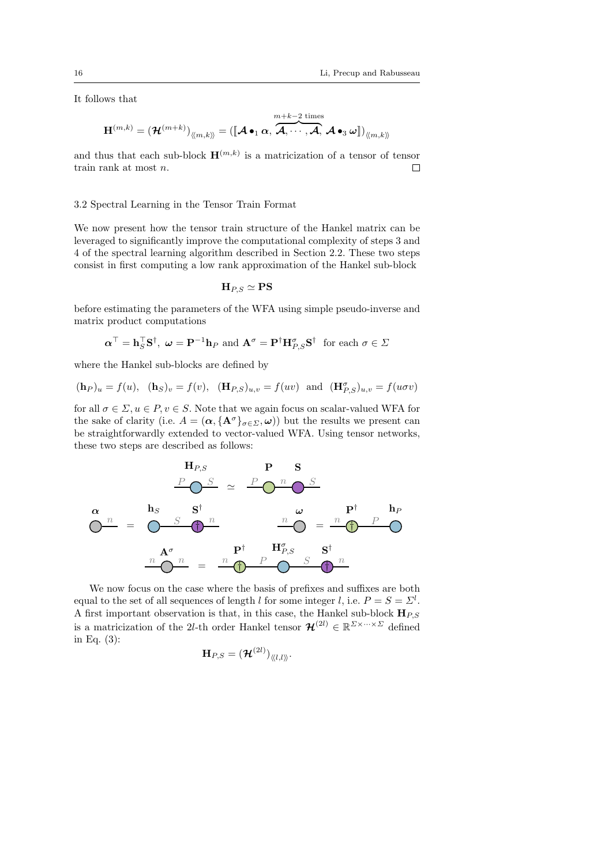It follows that

$$
\mathbf{H}^{(m,k)} = \left(\boldsymbol{\mathcal{H}}^{(m+k)}\right)_{\langle\!\langle m,k\rangle\!\rangle} = \left(\llbracket\boldsymbol{\mathcal{A}}\bullet_1\boldsymbol{\alpha}, \overbrace{\boldsymbol{\mathcal{A}},\cdots,\boldsymbol{\mathcal{A}} }^{m+k-2\text{ times}}, \boldsymbol{\mathcal{A}}\bullet_3\boldsymbol{\omega}\rrbracket\right)_{\langle\!\langle m,k\rangle\!\rangle}
$$

and thus that each sub-block  $\mathbf{H}^{(m,k)}$  is a matricization of a tensor of tensor train rank at most n.  $\Box$ 

# 3.2 Spectral Learning in the Tensor Train Format

We now present how the tensor train structure of the Hankel matrix can be leveraged to significantly improve the computational complexity of steps 3 and 4 of the spectral learning algorithm described in Section 2.2. These two steps consist in first computing a low rank approximation of the Hankel sub-block

$$
\mathbf{H}_{P,S}\simeq\mathbf{PS}
$$

before estimating the parameters of the WFA using simple pseudo-inverse and matrix product computations

$$
\boldsymbol{\alpha}^{\top} = \mathbf{h}_S^{\top} \mathbf{S}^{\dagger}, \ \boldsymbol{\omega} = \mathbf{P}^{-1} \mathbf{h}_P \text{ and } \mathbf{A}^{\sigma} = \mathbf{P}^{\dagger} \mathbf{H}_{P,S}^{\sigma} \mathbf{S}^{\dagger} \text{ for each } \sigma \in \Sigma
$$

where the Hankel sub-blocks are defined by

$$
(\mathbf{h}_P)_u = f(u), \quad (\mathbf{h}_S)_v = f(v), \quad (\mathbf{H}_{P,S})_{u,v} = f(uv) \text{ and } (\mathbf{H}_{P,S}^{\sigma})_{u,v} = f(u\sigma v)
$$

for all  $\sigma \in \Sigma, u \in P, v \in S$ . Note that we again focus on scalar-valued WFA for the sake of clarity (i.e.  $A = (\alpha, {\{\mathbf{A}^\sigma\}}_{\sigma \in \Sigma}, \omega)$ ) but the results we present can be straightforwardly extended to vector-valued WFA. Using tensor networks, these two steps are described as follows:

$$
\mathbf{H}_{P,S} \qquad \mathbf{P} \qquad \mathbf{S}
$$
\n
$$
\frac{P \bigcirc S}{\bigcirc n} \simeq \frac{P \bigcirc n \bigcirc S}{\bigcirc n}
$$
\n
$$
\mathbf{O}^n = \bigcirc \frac{S}{\bigcirc n} \qquad \frac{n}{\bigcirc n} \qquad \frac{n}{\bigcirc n} \qquad \frac{n}{\bigcirc n} \qquad \frac{n}{\bigcirc n} \qquad \frac{n}{\bigcirc n}
$$
\n
$$
\frac{A^{\sigma}}{\bigcirc n} = \frac{n}{\bigcirc n} \qquad \frac{P^{\dagger}}{\bigcirc n} \qquad \frac{H^{\sigma}_{P,S} \qquad \mathbf{S}^{\dagger}}{\bigcirc n}
$$

We now focus on the case where the basis of prefixes and suffixes are both equal to the set of all sequences of length l for some integer l, i.e.  $P = S = \Sigma^{l}$ . A first important observation is that, in this case, the Hankel sub-block  $H_{PS}$ is a matricization of the 2l-th order Hankel tensor  $\mathcal{H}^{(2l)} \in \mathbb{R}^{\Sigma \times \cdots \times \Sigma}$  defined in Eq. (3):

$$
\mathbf{H}_{P,S}=(\mathcal{H}^{(2l)})_{\langle\!\langle l,l\rangle\!\rangle}.
$$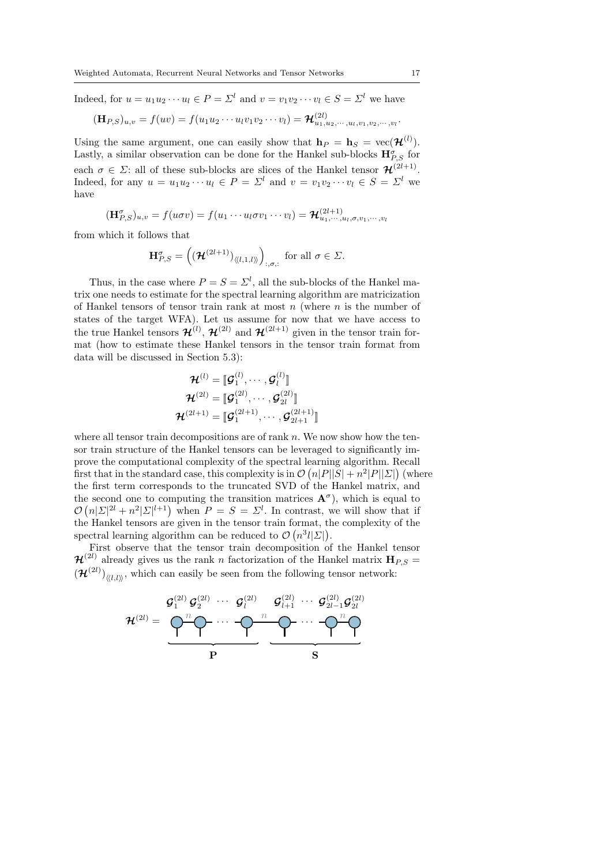Indeed, for  $u = u_1u_2\cdots u_l \in P = \Sigma^l$  and  $v = v_1v_2\cdots v_l \in S = \Sigma^l$  we have

$$
(\mathbf{H}_{P,S})_{u,v}=f(uv)=f(u_1u_2\cdots u_lv_1v_2\cdots v_l)=\mathcal{H}^{(2l)}_{u_1,u_2,\cdots,u_l,v_1,v_2,\cdots,v_l}.
$$

Using the same argument, one can easily show that  $\mathbf{h}_P = \mathbf{h}_S = \text{vec}(\mathcal{H}^{(l)})$ . Lastly, a similar observation can be done for the Hankel sub-blocks  $\mathbf{H}^{\sigma}_{P,S}$  for each  $\sigma \in \Sigma$ : all of these sub-blocks are slices of the Hankel tensor  $\mathcal{H}^{(2l+1)}$ . Indeed, for any  $u = u_1u_2\cdots u_l \in P = \Sigma^l$  and  $v = v_1v_2\cdots v_l \in S = \Sigma^l$  we have

$$
(\mathbf{H}_{P,S}^{\sigma})_{u,v}=f(u\sigma v)=f(u_1\cdots u_l\sigma v_1\cdots v_l)=\mathcal{H}_{u_1,\cdots,u_l,\sigma,v_1,\cdots,v_l}^{(2l+1)}
$$

from which it follows that

$$
\mathbf{H}^{\sigma}_{P,S} = \left( \left( \mathbf{\mathcal{H}}^{(2l+1)} \right)_{\langle \langle l,1,l \rangle \rangle} \right)_{:, \sigma,:} \text{ for all } \sigma \in \Sigma.
$$

Thus, in the case where  $P = S = \Sigma^{l}$ , all the sub-blocks of the Hankel matrix one needs to estimate for the spectral learning algorithm are matricization of Hankel tensors of tensor train rank at most  $n$  (where  $n$  is the number of states of the target WFA). Let us assume for now that we have access to the true Hankel tensors  $\mathcal{H}^{(l)}$ ,  $\mathcal{H}^{(2l)}$  and  $\mathcal{H}^{(2l+1)}$  given in the tensor train format (how to estimate these Hankel tensors in the tensor train format from data will be discussed in Section 5.3):

$$
\mathcal{H}^{(l)} = \llbracket \mathcal{G}_1^{(l)}, \cdots, \mathcal{G}_l^{(l)} \rrbracket
$$
\n
$$
\mathcal{H}^{(2l)} = \llbracket \mathcal{G}_1^{(2l)}, \cdots, \mathcal{G}_{2l}^{(2l)} \rrbracket
$$
\n
$$
\mathcal{H}^{(2l+1)} = \llbracket \mathcal{G}_1^{(2l+1)}, \cdots, \mathcal{G}_{2l+1}^{(2l+1)} \rrbracket
$$

where all tensor train decompositions are of rank  $n$ . We now show how the tensor train structure of the Hankel tensors can be leveraged to significantly improve the computational complexity of the spectral learning algorithm. Recall first that in the standard case, this complexity is in  $\mathcal{O}(n|P||S| + n^2|P||\Sigma|)$  (where the first term corresponds to the truncated SVD of the Hankel matrix, and the second one to computing the transition matrices  $A^{\sigma}$ ), which is equal to  $\mathcal{O}(n|\Sigma|^{2l} + n^2|\Sigma|^{l+1})$  when  $P = S = \Sigma^l$ . In contrast, we will show that if the Hankel tensors are given in the tensor train format, the complexity of the spectral learning algorithm can be reduced to  $\mathcal{O}(n^3 l |\Sigma|)$ .

First observe that the tensor train decomposition of the Hankel tensor  $\mathcal{H}^{(2l)}$  already gives us the rank n factorization of the Hankel matrix  $\mathbf{H}_{P,S} =$  $(\mathcal{H}^{(2l)})_{\langle l,l\rangle\rangle}$ , which can easily be seen from the following tensor network:

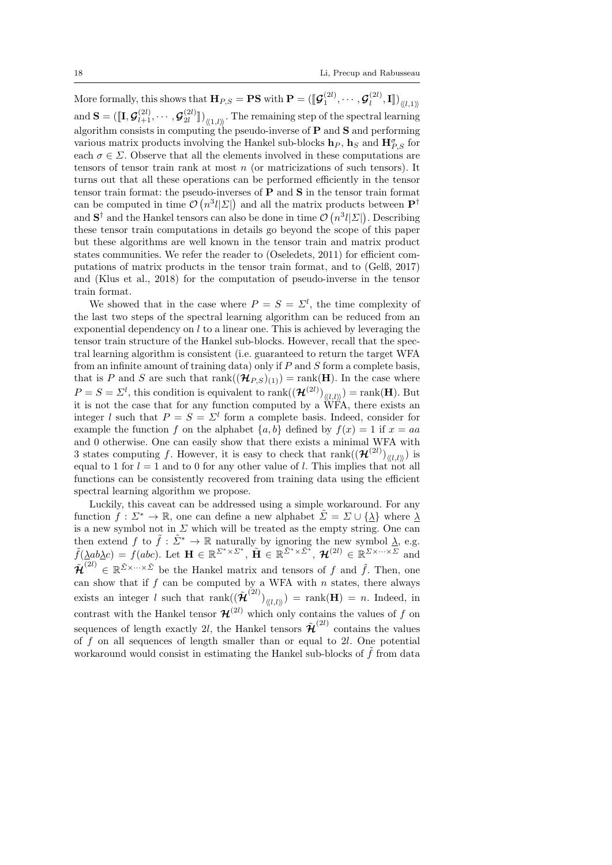More formally, this shows that  $\mathbf{H}_{P,S} = \mathbf{P}\mathbf{S}$  with  $\mathbf{P} = (\llbracket \mathcal{G}_1^{(2l)}, \cdots, \mathcal{G}_l^{(2l)} \rrbracket)$  $\left( \begin{smallmatrix} 2l & 0 \ l & 0 \end{smallmatrix} \right), \mathbf{I} \rrbracket)_{\langle\langle l,1 \rangle\rangle}$ and  $\mathbf{S} = (\llbracket \mathbf{I}, \boldsymbol{\mathcal{G}}^{(2l)}_{l+1}, \cdots, \boldsymbol{\mathcal{G}}^{(2l)}_{2l} \rrbracket)$  $\begin{bmatrix} 2l \ 2l \end{bmatrix}$  (1,*l*). The remaining step of the spectral learning algorithm consists in computing the pseudo-inverse of  $P$  and  $S$  and performing various matrix products involving the Hankel sub-blocks  $\mathbf{h}_P$ ,  $\mathbf{h}_S$  and  $\mathbf{H}_{P,S}^{\sigma}$  for each  $\sigma \in \Sigma$ . Observe that all the elements involved in these computations are tensors of tensor train rank at most  $n$  (or matricizations of such tensors). It turns out that all these operations can be performed efficiently in the tensor tensor train format: the pseudo-inverses of P and S in the tensor train format can be computed in time  $\mathcal{O}(n^3 l |\Sigma|)$  and all the matrix products between  $\mathbf{P}^{\dagger}$ and  $S^{\dagger}$  and the Hankel tensors can also be done in time  $\mathcal{O}(n^3l|\Sigma|)$ . Describing these tensor train computations in details go beyond the scope of this paper but these algorithms are well known in the tensor train and matrix product states communities. We refer the reader to (Oseledets, 2011) for efficient computations of matrix products in the tensor train format, and to (Gelß, 2017) and (Klus et al., 2018) for the computation of pseudo-inverse in the tensor train format.

We showed that in the case where  $P = S = \Sigma^{l}$ , the time complexity of the last two steps of the spectral learning algorithm can be reduced from an exponential dependency on  $l$  to a linear one. This is achieved by leveraging the tensor train structure of the Hankel sub-blocks. However, recall that the spectral learning algorithm is consistent (i.e. guaranteed to return the target WFA from an infinite amount of training data) only if  $P$  and  $S$  form a complete basis, that is P and S are such that  $rank((\mathcal{H}_{P,S})_{(1)}) = rank(\mathbf{H})$ . In the case where  $P = S = \Sigma^l$ , this condition is equivalent to  $\text{rank}((\mathcal{H}^{(2l)})_{\langle\langle l,l\rangle\rangle}) = \text{rank}(\mathbf{H})$ . But it is not the case that for any function computed by a WFA, there exists an integer l such that  $P = S = \Sigma^{l}$  form a complete basis. Indeed, consider for example the function f on the alphabet  $\{a, b\}$  defined by  $f(x) = 1$  if  $x = aa$ and 0 otherwise. One can easily show that there exists a minimal WFA with 3 states computing f. However, it is easy to check that  $\text{rank}((\mathcal{H}^{(2l)})_{\langle\langle l,l\rangle\rangle})$  is equal to 1 for  $l = 1$  and to 0 for any other value of l. This implies that not all functions can be consistently recovered from training data using the efficient spectral learning algorithm we propose.

Luckily, this caveat can be addressed using a simple workaround. For any function  $f: \Sigma^* \to \mathbb{R}$ , one can define a new alphabet  $\tilde{\Sigma} = \Sigma \cup {\lambda}$  where  $\lambda$ is a new symbol not in  $\Sigma$  which will be treated as the empty string. One can then extend f to  $\tilde{f}: \tilde{\Sigma}^* \to \mathbb{R}$  naturally by ignoring the new symbol  $\underline{\lambda}$ , e.g.  $\tilde{f}(\underline{\lambda}ab\underline{\lambda}c) = f(abc)$ . Let  $\mathbf{H} \in \mathbb{R}^{\Sigma^*\times\Sigma^*}$ ,  $\tilde{\mathbf{H}} \in \mathbb{R}^{\tilde{\Sigma}^*\times\tilde{\Sigma}^*}$ ,  $\mathcal{H}^{(2l)} \in \mathbb{R}^{\Sigma\times\cdots\times\Sigma}$  and  $\tilde{\mathcal{H}}^{(2l)} \in \mathbb{R}^{\tilde{\Sigma} \times \cdots \times \tilde{\Sigma}}$  be the Hankel matrix and tensors of f and  $\tilde{f}$ . Then, one can show that if  $f$  can be computed by a WFA with  $n$  states, there always exists an integer l such that  $rank((\tilde{\mathcal{H}}^{(2l)})_{\langle\langle l,l\rangle\rangle}) = rank(\mathbf{H}) = n$ . Indeed, in contrast with the Hankel tensor  $\mathcal{H}^{(2l)}$  which only contains the values of f on sequences of length exactly 2l, the Hankel tensors  $\tilde{\mathcal{H}}^{(2l)}$  contains the values of  $f$  on all sequences of length smaller than or equal to  $2l$ . One potential workaround would consist in estimating the Hankel sub-blocks of  $f$  from data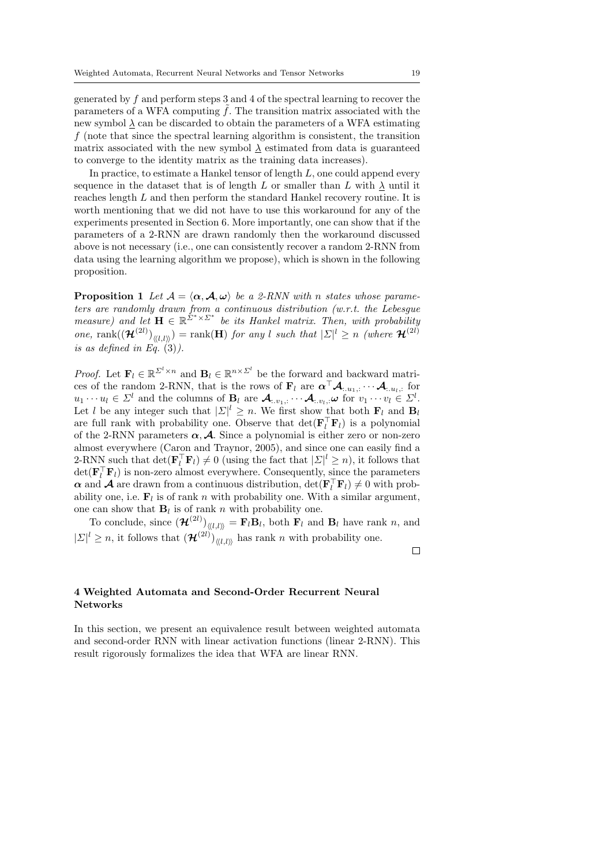generated by f and perform steps 3 and 4 of the spectral learning to recover the parameters of a WFA computing  $f$ . The transition matrix associated with the new symbol  $\lambda$  can be discarded to obtain the parameters of a WFA estimating f (note that since the spectral learning algorithm is consistent, the transition matrix associated with the new symbol  $\lambda$  estimated from data is guaranteed to converge to the identity matrix as the training data increases).

In practice, to estimate a Hankel tensor of length  $L$ , one could append every sequence in the dataset that is of length  $L$  or smaller than  $L$  with  $\lambda$  until it reaches length L and then perform the standard Hankel recovery routine. It is worth mentioning that we did not have to use this workaround for any of the experiments presented in Section 6. More importantly, one can show that if the parameters of a 2-RNN are drawn randomly then the workaround discussed above is not necessary (i.e., one can consistently recover a random 2-RNN from data using the learning algorithm we propose), which is shown in the following proposition.

**Proposition 1** Let  $A = \langle \alpha, A, \omega \rangle$  be a 2-RNN with n states whose parameters are randomly drawn from a continuous distribution (w.r.t. the Lebesgue measure) and let  $\mathbf{H} \in \mathbb{R}^{\Sigma^* \times \Sigma^*}$  be its Hankel matrix. Then, with probability one, rank $((\mathcal{H}^{(2l)})_{\langle\langle l,l\rangle\rangle}) = \text{rank}(\mathbf{H})$  for any l such that  $|\Sigma|^l \geq n$  (where  $\mathcal{H}^{(2l)}$ ) is as defined in Eq.  $(3)$ ).

*Proof.* Let  $\mathbf{F}_l \in \mathbb{R}^{\Sigma^l \times n}$  and  $\mathbf{B}_l \in \mathbb{R}^{n \times \Sigma^l}$  be the forward and backward matrices of the random 2-RNN, that is the rows of  $\mathbf{F}_l$  are  $\boldsymbol{\alpha}^\top \mathcal{A}_{:,u_1,:} \cdots \mathcal{A}_{:,u_l,:}$  for  $u_1 \cdots u_l \in \Sigma^l$  and the columns of  $\mathbf{B}_l$  are  $\mathcal{A}_{\ldots v_1, \ldots} \cdots \mathcal{A}_{\ldots v_l, \ldots} \omega$  for  $v_1 \cdots v_l \in \Sigma^l$ . Let l be any integer such that  $|\Sigma|^l \geq n$ . We first show that both  $\mathbf{F}_l$  and  $\mathbf{B}_l$ are full rank with probability one. Observe that  $\det(\mathbf{F}_l^{\top} \mathbf{F}_l)$  is a polynomial of the 2-RNN parameters  $\alpha$ , **A**. Since a polynomial is either zero or non-zero almost everywhere (Caron and Traynor, 2005), and since one can easily find a 2-RNN such that  $\det(\mathbf{F}_l^{\top} \mathbf{F}_l) \neq 0$  (using the fact that  $|\Sigma|^l \geq n$ ), it follows that  $\det(\mathbf{F}_l^{\top} \mathbf{F}_l)$  is non-zero almost everywhere. Consequently, since the parameters  $\alpha$  and  $\mathcal A$  are drawn from a continuous distribution,  $\det(\mathbf{F}_l^{\top} \mathbf{F}_l) \neq 0$  with probability one, i.e.  $\mathbf{F}_l$  is of rank n with probability one. With a similar argument, one can show that  $\mathbf{B}_l$  is of rank n with probability one.

To conclude, since  $(\mathcal{H}^{(2l)})_{\langle l,l\rangle\rangle} = \mathbf{F}_l \mathbf{B}_l$ , both  $\mathbf{F}_l$  and  $\mathbf{B}_l$  have rank n, and  $|\Sigma|^l \geq n$ , it follows that  $(\mathcal{H}^{(2l)})_{\langle\langle l,l\rangle\rangle}$  has rank n with probability one.

 $\Box$ 

# 4 Weighted Automata and Second-Order Recurrent Neural Networks

In this section, we present an equivalence result between weighted automata and second-order RNN with linear activation functions (linear 2-RNN). This result rigorously formalizes the idea that WFA are linear RNN.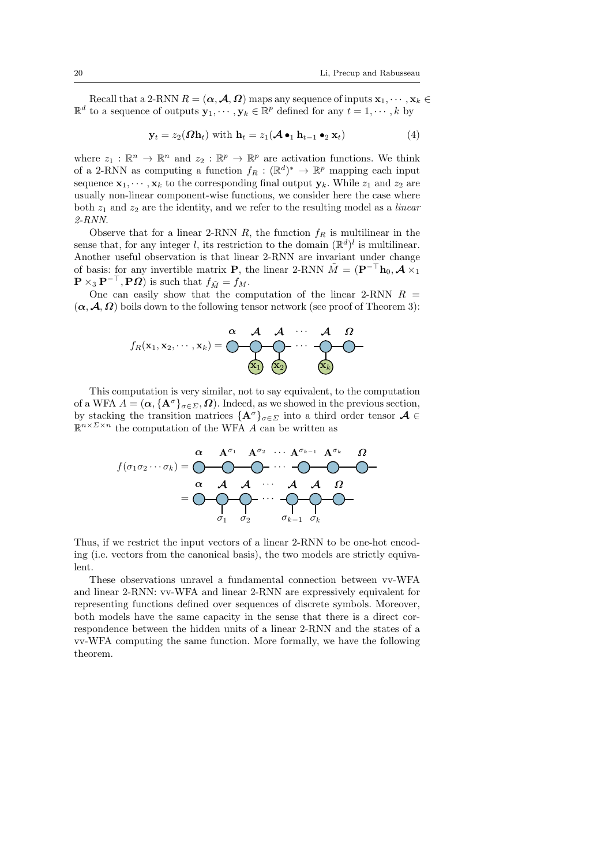Recall that a 2-RNN  $R = (\alpha, \mathcal{A}, \Omega)$  maps any sequence of inputs  $\mathbf{x}_1, \dots, \mathbf{x}_k \in \mathbb{R}$  $\mathbb{R}^d$  to a sequence of outputs  $\mathbf{y}_1, \dots, \mathbf{y}_k \in \mathbb{R}^p$  defined for any  $t = 1, \dots, k$  by

$$
\mathbf{y}_t = z_2(\boldsymbol{\Omega}\mathbf{h}_t) \text{ with } \mathbf{h}_t = z_1(\boldsymbol{\mathcal{A}} \bullet_1 \mathbf{h}_{t-1} \bullet_2 \mathbf{x}_t) \tag{4}
$$

where  $z_1 : \mathbb{R}^n \to \mathbb{R}^n$  and  $z_2 : \mathbb{R}^p \to \mathbb{R}^p$  are activation functions. We think of a 2-RNN as computing a function  $f_R : (\mathbb{R}^d)^* \to \mathbb{R}^p$  mapping each input sequence  $x_1, \dots, x_k$  to the corresponding final output  $y_k$ . While  $z_1$  and  $z_2$  are usually non-linear component-wise functions, we consider here the case where both  $z_1$  and  $z_2$  are the identity, and we refer to the resulting model as a *linear* 2-RNN.

Observe that for a linear 2-RNN R, the function  $f_R$  is multilinear in the sense that, for any integer l, its restriction to the domain  $(\mathbb{R}^d)^l$  is multilinear. Another useful observation is that linear 2-RNN are invariant under change of basis: for any invertible matrix **P**, the linear 2-RNN  $\tilde{M} = (\mathbf{P}^{-\top} \mathbf{h}_0, \mathcal{A} \times_1$  $\mathbf{P} \times_3 \mathbf{P}^{-\top}, \mathbf{P}\Omega$  is such that  $f_{\tilde{M}} = f_M$ .

One can easily show that the computation of the linear 2-RNN  $R =$  $(\alpha, \mathcal{A}, \Omega)$  boils down to the following tensor network (see proof of Theorem 3):



This computation is very similar, not to say equivalent, to the computation of a WFA  $A = (\alpha, {\mathbf{A}^\sigma}_{\sigma \in \Sigma}, \Omega)$ . Indeed, as we showed in the previous section, by stacking the transition matrices  $\{A^{\sigma}\}_{\sigma \in \Sigma}$  into a third order tensor  $A \in$  $\mathbb{R}^{n \times \Sigma \times n}$  the computation of the WFA A can be written as

f(σ1σ<sup>2</sup> · · · σk) = α Aσ<sup>1</sup> Aσ<sup>2</sup> · · · · · · Aσk−<sup>1</sup> Aσ<sup>k</sup> Ω = α A σ1 A σ2 · · · · · · A σk−<sup>1</sup> A σk Ω

Thus, if we restrict the input vectors of a linear 2-RNN to be one-hot encoding (i.e. vectors from the canonical basis), the two models are strictly equivalent.

These observations unravel a fundamental connection between vv-WFA and linear 2-RNN: vv-WFA and linear 2-RNN are expressively equivalent for representing functions defined over sequences of discrete symbols. Moreover, both models have the same capacity in the sense that there is a direct correspondence between the hidden units of a linear 2-RNN and the states of a vv-WFA computing the same function. More formally, we have the following theorem.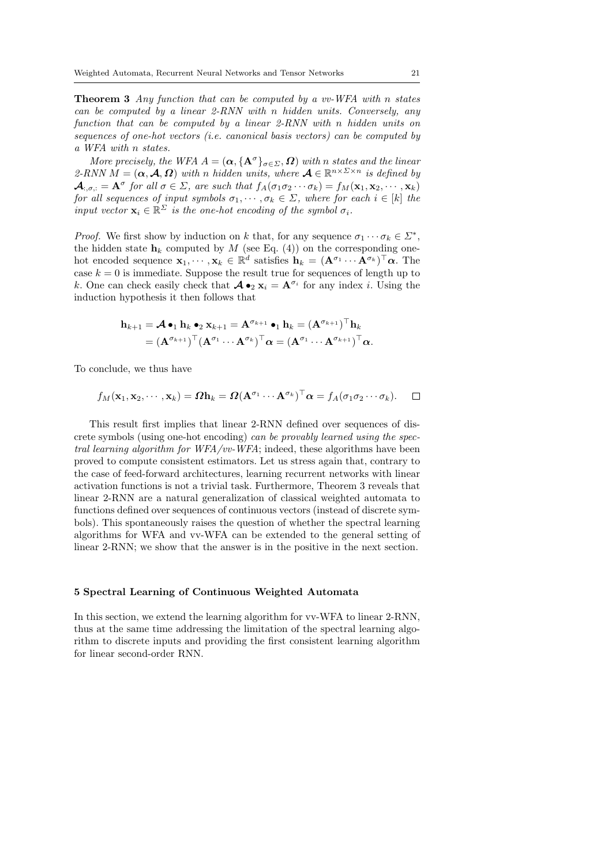**Theorem 3** Any function that can be computed by a vv-WFA with n states can be computed by a linear 2-RNN with n hidden units. Conversely, any function that can be computed by a linear 2-RNN with n hidden units on sequences of one-hot vectors (i.e. canonical basis vectors) can be computed by a WFA with n states.

More precisely, the WFA  $A = (\alpha, {\mathbf{A}^\sigma}_{\sigma \in \Sigma}, \Omega)$  with n states and the linear 2-RNN  $M = (\alpha, \mathcal{A}, \Omega)$  with n hidden units, where  $\mathcal{A} \in \mathbb{R}^{n \times \Sigma \times n}$  is defined by  $\mathcal{A}_{\cdot,\sigma,\cdot} = \mathbf{A}^{\sigma}$  for all  $\sigma \in \Sigma$ , are such that  $f_A(\sigma_1\sigma_2\cdots\sigma_k) = f_M(\mathbf{x}_1,\mathbf{x}_2,\cdots,\mathbf{x}_k)$ for all sequences of input symbols  $\sigma_1, \cdots, \sigma_k \in \Sigma$ , where for each  $i \in [k]$  the input vector  $\mathbf{x}_i \in \mathbb{R}^{\Sigma}$  is the one-hot encoding of the symbol  $\sigma_i$ .

*Proof.* We first show by induction on k that, for any sequence  $\sigma_1 \cdots \sigma_k \in \Sigma^*$ , the hidden state  $h_k$  computed by M (see Eq. (4)) on the corresponding onehot encoded sequence  $\mathbf{x}_1, \dots, \mathbf{x}_k \in \mathbb{R}^d$  satisfies  $\mathbf{h}_k = (\mathbf{A}^{\sigma_1} \cdots \mathbf{A}^{\sigma_k})^\top \alpha$ . The case  $k = 0$  is immediate. Suppose the result true for sequences of length up to k. One can check easily check that  $\mathcal{A} \bullet_2 \mathbf{x}_i = \mathbf{A}^{\sigma_i}$  for any index i. Using the induction hypothesis it then follows that

$$
\mathbf{h}_{k+1} = \mathcal{A} \bullet_1 \mathbf{h}_k \bullet_2 \mathbf{x}_{k+1} = \mathbf{A}^{\sigma_{k+1}} \bullet_1 \mathbf{h}_k = (\mathbf{A}^{\sigma_{k+1}})^{\top} \mathbf{h}_k
$$

$$
= (\mathbf{A}^{\sigma_{k+1}})^{\top} (\mathbf{A}^{\sigma_1} \cdots \mathbf{A}^{\sigma_k})^{\top} \alpha = (\mathbf{A}^{\sigma_1} \cdots \mathbf{A}^{\sigma_{k+1}})^{\top} \alpha.
$$

To conclude, we thus have

$$
f_M(\mathbf{x}_1, \mathbf{x}_2, \cdots, \mathbf{x}_k) = \Omega \mathbf{h}_k = \Omega (\mathbf{A}^{\sigma_1} \cdots \mathbf{A}^{\sigma_k})^\top \alpha = f_A(\sigma_1 \sigma_2 \cdots \sigma_k).
$$

This result first implies that linear 2-RNN defined over sequences of discrete symbols (using one-hot encoding) can be provably learned using the spectral learning algorithm for WFA/vv-WFA; indeed, these algorithms have been proved to compute consistent estimators. Let us stress again that, contrary to the case of feed-forward architectures, learning recurrent networks with linear activation functions is not a trivial task. Furthermore, Theorem 3 reveals that linear 2-RNN are a natural generalization of classical weighted automata to functions defined over sequences of continuous vectors (instead of discrete symbols). This spontaneously raises the question of whether the spectral learning algorithms for WFA and vv-WFA can be extended to the general setting of linear 2-RNN; we show that the answer is in the positive in the next section.

# 5 Spectral Learning of Continuous Weighted Automata

In this section, we extend the learning algorithm for vv-WFA to linear 2-RNN, thus at the same time addressing the limitation of the spectral learning algorithm to discrete inputs and providing the first consistent learning algorithm for linear second-order RNN.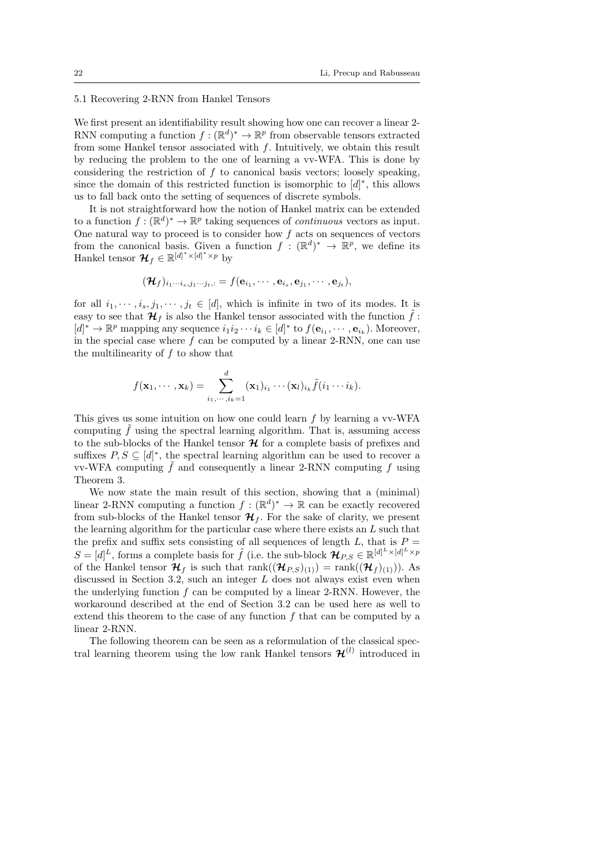# 5.1 Recovering 2-RNN from Hankel Tensors

We first present an identifiability result showing how one can recover a linear 2-RNN computing a function  $f : (\mathbb{R}^d)^* \to \mathbb{R}^p$  from observable tensors extracted from some Hankel tensor associated with  $f$ . Intuitively, we obtain this result by reducing the problem to the one of learning a vv-WFA. This is done by considering the restriction of  $f$  to canonical basis vectors; loosely speaking, since the domain of this restricted function is isomorphic to  $[d]^*$ , this allows us to fall back onto the setting of sequences of discrete symbols.

It is not straightforward how the notion of Hankel matrix can be extended to a function  $f: (\mathbb{R}^d)^* \to \mathbb{R}^p$  taking sequences of *continuous* vectors as input. One natural way to proceed is to consider how  $f$  acts on sequences of vectors from the canonical basis. Given a function  $f : (\mathbb{R}^d)^* \to \mathbb{R}^p$ , we define its Hankel tensor  $\mathcal{H}_f \in \mathbb{R}^{[d]^* \times [d]^* \times p}$  by

$$
(\boldsymbol{\mathcal{H}}_f)_{i_1\cdots i_s,j_1\cdots j_t,:}=f({\bf e}_{i_1},\cdots,{\bf e}_{i_s},{\bf e}_{j_1},\cdots,{\bf e}_{j_t}),
$$

for all  $i_1, \dots, i_s, j_1, \dots, j_t \in [d]$ , which is infinite in two of its modes. It is easy to see that  $\mathcal{H}_f$  is also the Hankel tensor associated with the function  $\tilde{f}$ :  $[d]^* \to \mathbb{R}^p$  mapping any sequence  $i_1 i_2 \cdots i_k \in [d]^*$  to  $f(\mathbf{e}_{i_1}, \cdots, \mathbf{e}_{i_k})$ . Moreover, in the special case where  $f$  can be computed by a linear 2-RNN, one can use the multilinearity of  $f$  to show that

$$
f(\mathbf{x}_1,\dots,\mathbf{x}_k)=\sum_{i_1,\dots,i_k=1}^d (\mathbf{x}_1)_{i_1}\cdots(\mathbf{x}_l)_{i_k}\tilde{f}(i_1\cdots i_k).
$$

This gives us some intuition on how one could learn  $f$  by learning a vv-WFA computing  $f$  using the spectral learning algorithm. That is, assuming access to the sub-blocks of the Hankel tensor  $\mathcal H$  for a complete basis of prefixes and suffixes  $P, S \subseteq [d]^*$ , the spectral learning algorithm can be used to recover a vv-WFA computing  $\tilde{f}$  and consequently a linear 2-RNN computing f using Theorem 3.

We now state the main result of this section, showing that a (minimal) linear 2-RNN computing a function  $f : (\mathbb{R}^d)^* \to \mathbb{R}$  can be exactly recovered from sub-blocks of the Hankel tensor  $\mathcal{H}_f$ . For the sake of clarity, we present the learning algorithm for the particular case where there exists an L such that the prefix and suffix sets consisting of all sequences of length  $L$ , that is  $P =$  $S = [d]^L$ , forms a complete basis for  $\tilde{f}$  (i.e. the sub-block  $\mathcal{H}_{P,S} \in \mathbb{R}^{[d]^L \times [d]^L \times p}$ of the Hankel tensor  $\mathcal{H}_f$  is such that  $\text{rank}((\mathcal{H}_{PS})_{(1)}) = \text{rank}((\mathcal{H}_f)_{(1)}).$  As discussed in Section 3.2, such an integer  $L$  does not always exist even when the underlying function  $f$  can be computed by a linear 2-RNN. However, the workaround described at the end of Section 3.2 can be used here as well to extend this theorem to the case of any function  $f$  that can be computed by a linear 2-RNN.

The following theorem can be seen as a reformulation of the classical spectral learning theorem using the low rank Hankel tensors  $\mathcal{H}^{(l)}$  introduced in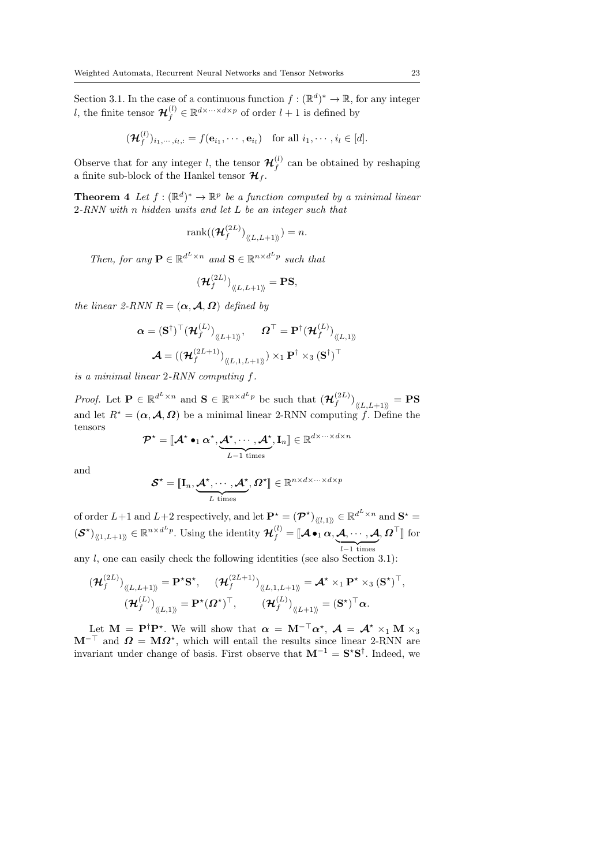Section 3.1. In the case of a continuous function  $f : (\mathbb{R}^d)^* \to \mathbb{R}$ , for any integer l, the finite tensor  $\mathcal{H}_f^{(l)} \in \mathbb{R}^{d \times \dots \times d \times p}$  of order  $l+1$  is defined by

$$
(\mathbf{\mathcal{H}}_f^{(l)})_{i_1,\cdots,i_l,:}=f(\mathbf{e}_{i_1},\cdots,\mathbf{e}_{i_l})\quad\text{for all }i_1,\cdots,i_l\in[d].
$$

Observe that for any integer l, the tensor  $\mathcal{H}_f^{(l)}$  $f_f^{(t)}$  can be obtained by reshaping a finite sub-block of the Hankel tensor  $\mathcal{H}_f$ .

**Theorem 4** Let  $f : (\mathbb{R}^d)^* \to \mathbb{R}^p$  be a function computed by a minimal linear 2-RNN with n hidden units and let L be an integer such that

$$
\operatorname{rank}((\boldsymbol{\mathcal{H}}_f^{(2L)})_{\langle\!\langle L,L+1\rangle\!\rangle})=n.
$$

Then, for any  $\mathbf{P} \in \mathbb{R}^{d^L \times n}$  and  $\mathbf{S} \in \mathbb{R}^{n \times d^L p}$  such that

$$
(\mathcal{H}_f^{(2L)})_{\langle\!\langle L,L+1\rangle\!\rangle} = \text{PS},
$$

the linear 2-RNN  $R = (\alpha, \mathcal{A}, \Omega)$  defined by

$$
\boldsymbol{\alpha} = (\mathbf{S}^{\dagger})^{\top} (\mathcal{H}_{f}^{(L)})_{\langle L+1 \rangle \rangle}, \qquad \boldsymbol{\Omega}^{\top} = \mathbf{P}^{\dagger} (\mathcal{H}_{f}^{(L)})_{\langle L,1 \rangle \rangle}
$$

$$
\mathcal{A} = ((\mathcal{H}_{f}^{(2L+1)})_{\langle L,1,L+1 \rangle \rangle}) \times_{1} \mathbf{P}^{\dagger} \times_{3} (\mathbf{S}^{\dagger})^{\top}
$$

is a minimal linear 2-RNN computing f.

*Proof.* Let  $P \in \mathbb{R}^{d^L \times n}$  and  $S \in \mathbb{R}^{n \times d^L p}$  be such that  $(\mathcal{H}_f^{(2L)})$  $\left(f^{(2L)}\right)_{\langle\!\langle L,L+1\rangle\!\rangle}=\textbf{PS}$ and let  $R^* = (\alpha, \mathcal{A}, \Omega)$  be a minimal linear 2-RNN computing f. Define the tensors

$$
\mathcal{P}^\star = [\![\boldsymbol{\mathcal{A}}^\star\bullet_1 \boldsymbol{\alpha}^\star,\underbrace{\boldsymbol{\mathcal{A}}^\star,\cdots,\boldsymbol{\mathcal{A}}^\star}_{L-1 \text{ times}},\mathbf{I}_n]\!] \in \mathbb{R}^{d \times \cdots \times d \times n}
$$

and

$$
\boldsymbol{\mathcal{S}}^{\star}=\llbracket \mathbf{I}_n, \underbrace{\boldsymbol{\mathcal{A}}^{\star}, \cdots, \boldsymbol{\mathcal{A}}^{\star}}_{L \text{ times}}, \boldsymbol{\varOmega}^{\star} \rrbracket \in \mathbb{R}^{n \times d \times \cdots \times d \times p}
$$

of order  $L+1$  and  $L+2$  respectively, and let  $\mathbf{P}^* = (\mathcal{P}^*)_{\langle\langle l,1\rangle\rangle} \in \mathbb{R}^{d^L \times n}$  and  $\mathbf{S}^* =$  $(\mathcal{S}^{\star})_{\langle\!\langle 1,L+1\rangle\!\rangle} \in \mathbb{R}^{n \times d^L p}$ . Using the identity  $\mathcal{H}_f^{(l)} = [\!\![\mathcal{A} \bullet_1 \alpha, \underbrace{\mathcal{A}, \cdots, \mathcal{A}}_{l-1 \text{ times}}, \Omega^\top]\!]$  for

any  $l$ , one can easily check the following identities (see also Section 3.1):

$$
\begin{aligned}\n(\mathcal{H}_f^{(2L)})_{\langle\!\langle L,L+1\rangle\!\rangle} &= \mathbf{P}^\star \mathbf{S}^\star, \quad (\mathcal{H}_f^{(2L+1)})_{\langle\!\langle L,1,L+1\rangle\!\rangle} = \mathcal{A}^\star \times_1 \mathbf{P}^\star \times_3 (\mathbf{S}^\star)^\top, \\
(\mathcal{H}_f^{(L)})_{\langle\!\langle L,1\rangle\!\rangle} &= \mathbf{P}^\star (\boldsymbol{\Omega}^\star)^\top, \quad (\mathcal{H}_f^{(L)})_{\langle\!\langle L+1\rangle\!\rangle} = (\mathbf{S}^\star)^\top \boldsymbol{\alpha}.\n\end{aligned}
$$

Let  $\mathbf{M} = \mathbf{P}^{\dagger} \mathbf{P}^{\star}$ . We will show that  $\boldsymbol{\alpha} = \mathbf{M}^{-\top} \boldsymbol{\alpha}^{\star}$ ,  $\boldsymbol{\mathcal{A}} = \boldsymbol{\mathcal{A}}^{\star} \times_1 \mathbf{M} \times_3$  $M^{-\top}$  and  $\Omega = M\Omega^*$ , which will entail the results since linear 2-RNN are invariant under change of basis. First observe that  $M^{-1} = S^*S^{\dagger}$ . Indeed, we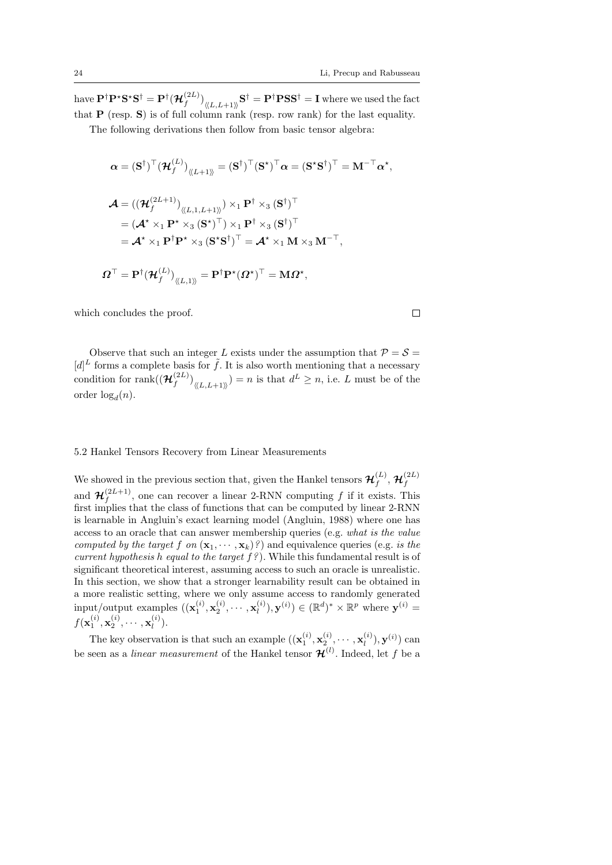have  $\mathbf{P}^\dagger \mathbf{P}^\star \mathbf{S}^\star \mathbf{S}^\dagger = \mathbf{P}^\dagger (\boldsymbol{\mathcal{H}}_f^{(2L)}$  $\left(\mathbf{f}^{(2L)}\right)_{\langle\!\langle L,L+1\rangle\!\rangle}\mathbf{S}^\dagger = \mathbf{P}^\dagger\mathbf{P}\mathbf{S}\mathbf{S}^\dagger = \mathbf{I}$  where we used the fact that **P** (resp. **S**) is of full column rank (resp. row rank) for the last equality.

The following derivations then follow from basic tensor algebra:

$$
\alpha = (\mathbf{S}^{\dagger})^{\top} (\mathcal{H}_{f}^{(L)})_{\langle\langle L+1 \rangle\rangle} = (\mathbf{S}^{\dagger})^{\top} (\mathbf{S}^{\star})^{\top} \alpha = (\mathbf{S}^{\star} \mathbf{S}^{\dagger})^{\top} = \mathbf{M}^{-\top} \alpha^{\star},
$$
  

$$
\mathcal{A} = ((\mathcal{H}_{f}^{(2L+1)})_{\langle\langle L,1,L+1 \rangle\rangle}) \times_{1} \mathbf{P}^{\dagger} \times_{3} (\mathbf{S}^{\dagger})^{\top}
$$
  

$$
= (\mathcal{A}^{\star} \times_{1} \mathbf{P}^{\star} \times_{3} (\mathbf{S}^{\star})^{\top}) \times_{1} \mathbf{P}^{\dagger} \times_{3} (\mathbf{S}^{\dagger})^{\top}
$$
  

$$
= \mathcal{A}^{\star} \times_{1} \mathbf{P}^{\dagger} \mathbf{P}^{\star} \times_{3} (\mathbf{S}^{\star} \mathbf{S}^{\dagger})^{\top} = \mathcal{A}^{\star} \times_{1} \mathbf{M} \times_{3} \mathbf{M}^{-\top},
$$
  

$$
\Omega^{\top} = \mathbf{P}^{\dagger} (\mathcal{H}_{f}^{(L)})_{\langle\langle L,1 \rangle\rangle} = \mathbf{P}^{\dagger} \mathbf{P}^{\star} (\Omega^{\star})^{\top} = \mathbf{M} \Omega^{\star},
$$

which concludes the proof.

$$
\Box
$$

Observe that such an integer L exists under the assumption that  $P = S =$  $[d]^L$  forms a complete basis for  $\tilde{f}$ . It is also worth mentioning that a necessary condition for rank( $(\mathcal{H}_t^{(2L)})$  $\binom{(2L)}{f}_{\langle L,L+1\rangle}$  = n is that  $d^L \geq n$ , i.e. L must be of the order  $log_d(n)$ .

#### 5.2 Hankel Tensors Recovery from Linear Measurements

We showed in the previous section that, given the Hankel tensors  $\mathcal{H}_f^{(L)}$  $f^{(L)}, \mathcal{H}_f^{(2L)}$ f and  $\mathcal{H}_f^{(2L+1)}$  $f_f^{(2L+1)}$ , one can recover a linear 2-RNN computing f if it exists. This first implies that the class of functions that can be computed by linear 2-RNN is learnable in Angluin's exact learning model (Angluin, 1988) where one has access to an oracle that can answer membership queries (e.g. what is the value computed by the target f on  $(\mathbf{x}_1, \dots, \mathbf{x}_k)$ ?) and equivalence queries (e.g. is the current hypothesis h equal to the target  $f$ ?). While this fundamental result is of significant theoretical interest, assuming access to such an oracle is unrealistic. In this section, we show that a stronger learnability result can be obtained in a more realistic setting, where we only assume access to randomly generated input/output examples  $((\mathbf{x}_1^{(i)}, \mathbf{x}_2^{(i)}, \cdots, \mathbf{x}_l^{(i)}))$  $\mathbf{y}^{(i)}_l, \mathbf{y}^{(i)}_{}$  ( $\mathbb{R}^d$ )\*  $\times$   $\mathbb{R}^p$  where  $\mathbf{y}^{(i)}_{}$  =  $f(\mathbf x^{(i)}_1, \mathbf x^{(i)}_2, \cdots, \mathbf x^{(i)}_l$  $\binom{u}{l}$ .

The key observation is that such an example  $((\mathbf{x}_1^{(i)}, \mathbf{x}_2^{(i)}, \cdots, \mathbf{x}_l^{(i)}))$  $\mathbf{y}_l^{(i)}$ ),  $\mathbf{y}^{(i)}$ ) can be seen as a *linear measurement* of the Hankel tensor  $\mathcal{H}^{(l)}$ . Indeed, let f be a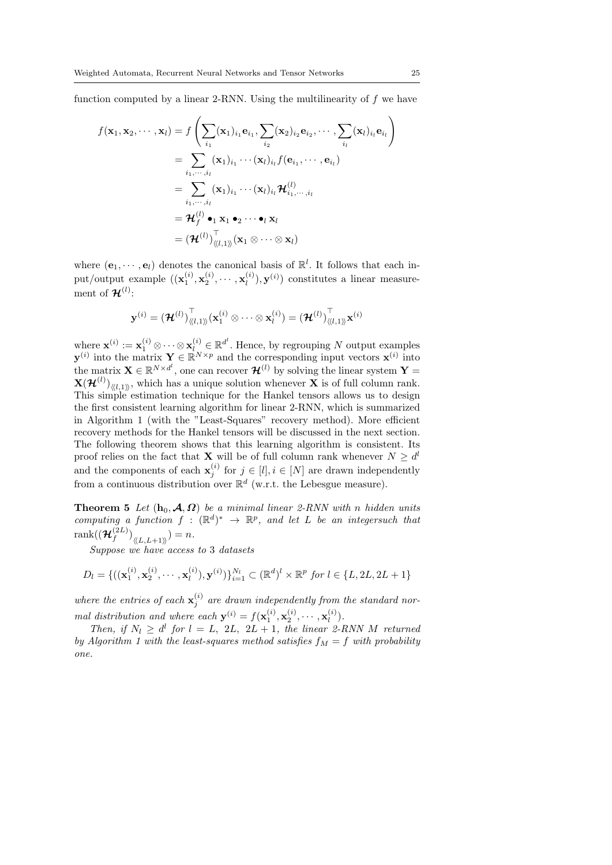function computed by a linear 2-RNN. Using the multilinearity of  $f$  we have

$$
f(\mathbf{x}_1, \mathbf{x}_2, \dots, \mathbf{x}_l) = f\left(\sum_{i_1} (\mathbf{x}_1)_{i_1} \mathbf{e}_{i_1}, \sum_{i_2} (\mathbf{x}_2)_{i_2} \mathbf{e}_{i_2}, \dots, \sum_{i_l} (\mathbf{x}_l)_{i_l} \mathbf{e}_{i_l}\right)
$$
  
\n
$$
= \sum_{i_1, \dots, i_l} (\mathbf{x}_1)_{i_1} \cdots (\mathbf{x}_l)_{i_l} f(\mathbf{e}_{i_1}, \dots, \mathbf{e}_{i_l})
$$
  
\n
$$
= \sum_{i_1, \dots, i_l} (\mathbf{x}_1)_{i_1} \cdots (\mathbf{x}_l)_{i_l} \mathcal{H}_{i_1, \dots, i_l}^{(l)}
$$
  
\n
$$
= \mathcal{H}_f^{(l)} \bullet_1 \mathbf{x}_1 \bullet_2 \cdots \bullet_l \mathbf{x}_l
$$
  
\n
$$
= (\mathcal{H}^{(l)})_{\langle l, 1 \rangle}^{\top} (\mathbf{x}_1 \otimes \dots \otimes \mathbf{x}_l)
$$

where  $(\mathbf{e}_1, \dots, \mathbf{e}_l)$  denotes the canonical basis of  $\mathbb{R}^l$ . It follows that each input/output example  $((\mathbf{x}_1^{(i)}, \mathbf{x}_2^{(i)}, \cdots, \mathbf{x}_l^{(i)})$  $\mathbf{u}_l^{(i)}$ ,  $\mathbf{y}^{(i)}$  constitutes a linear measurement of  $\mathcal{H}^{(l)}$ :

$$
\mathbf{y}^{(i)} = (\boldsymbol{\mathcal{H}}^{(l)})^{\top}_{\langle\!\langle l,1\rangle\!\rangle} (\mathbf{x}_1^{(i)} \otimes \cdots \otimes \mathbf{x}_l^{(i)}) = (\boldsymbol{\mathcal{H}}^{(l)})^{\top}_{\langle\!\langle l,1\rangle\!\rangle} \mathbf{x}^{(i)}
$$

where  $\mathbf{x}^{(i)} := \mathbf{x}_1^{(i)} \otimes \cdots \otimes \mathbf{x}_{l}^{(i)} \in \mathbb{R}^{d^l}$ . Hence, by regrouping N output examples  $\mathbf{y}^{(i)}$  into the matrix  $\mathbf{Y} \in \mathbb{R}^{N \times p}$  and the corresponding input vectors  $\mathbf{x}^{(i)}$  into the matrix  $\mathbf{X} \in \mathbb{R}^{N \times d^{l}}$ , one can recover  $\mathcal{H}^{(l)}$  by solving the linear system  $\mathbf{Y} =$  $\mathbf{X}(\mathcal{H}^{(l)})_{\langle\langle l,1\rangle\rangle}$ , which has a unique solution whenever  $\mathbf{X}$  is of full column rank. This simple estimation technique for the Hankel tensors allows us to design the first consistent learning algorithm for linear 2-RNN, which is summarized in Algorithm 1 (with the "Least-Squares" recovery method). More efficient recovery methods for the Hankel tensors will be discussed in the next section. The following theorem shows that this learning algorithm is consistent. Its proof relies on the fact that **X** will be of full column rank whenever  $N \geq d^l$ and the components of each  $\mathbf{x}_j^{(i)}$  for  $j \in [l], i \in [N]$  are drawn independently from a continuous distribution over  $\mathbb{R}^d$  (w.r.t. the Lebesgue measure).

**Theorem 5** Let  $(h_0, \mathcal{A}, \Omega)$  be a minimal linear 2-RNN with n hidden units computing a function  $f : (\mathbb{R}^d)^* \to \mathbb{R}^p$ , and let L be an integersuch that  $\operatorname{rank}((\boldsymbol{\mathcal{H}}_{\text{f}}^{(2L)}% ,\ldots,\boldsymbol{\mathcal{H}}_{\text{f}}^{(2L)}),C_{\text{f}}^{(2L)}$  $f^{(2L)}\big)_{\langle\!\langle L,L+1\rangle\!\rangle} = n.$ 

Suppose we have access to 3 datasets

$$
D_l = \{ ((\mathbf{x}_1^{(i)}, \mathbf{x}_2^{(i)}, \cdots, \mathbf{x}_l^{(i)}), \mathbf{y}^{(i)}) \}_{i=1}^{N_l} \subset (\mathbb{R}^d)^l \times \mathbb{R}^p \text{ for } l \in \{L, 2L, 2L+1\}
$$

where the entries of each  $\mathbf{x}_j^{(i)}$  are drawn independently from the standard normal distribution and where each  $\mathbf{y}^{(i)} = f(\mathbf{x}_1^{(i)}, \mathbf{x}_2^{(i)}, \cdots, \mathbf{x}_l^{(i)})$  $\binom{u}{l}$ .

Then, if  $N_l \geq d^l$  for  $l = L$ , 2L, 2L + 1, the linear 2-RNN M returned by Algorithm 1 with the least-squares method satisfies  $f_M = f$  with probability one.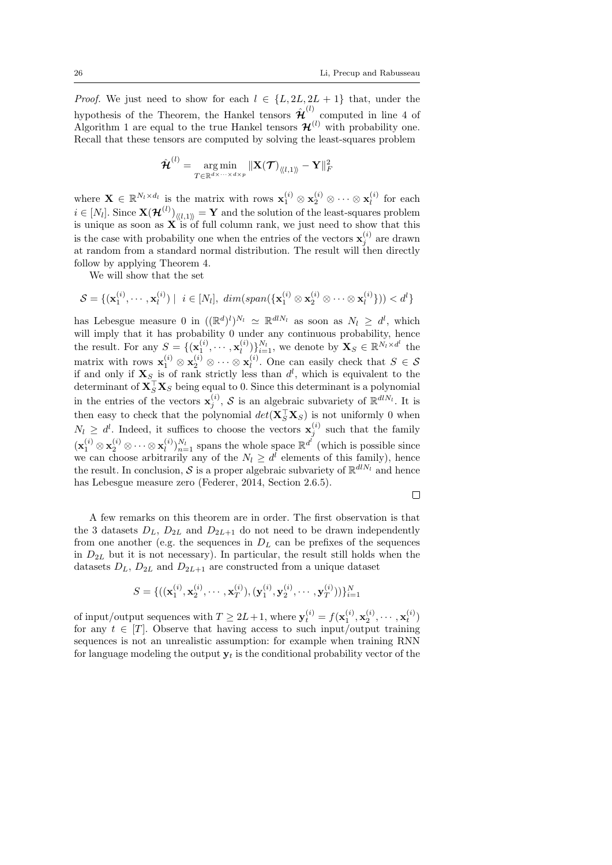*Proof.* We just need to show for each  $l \in \{L, 2L, 2L + 1\}$  that, under the hypothesis of the Theorem, the Hankel tensors  $\hat{\mathcal{H}}^{(l)}$  computed in line 4 of Algorithm 1 are equal to the true Hankel tensors  $\mathcal{H}^{(l)}$  with probability one. Recall that these tensors are computed by solving the least-squares problem

$$
\hat{\boldsymbol{\mathcal{H}}}^{(l)}=\mathop{\arg\min}\limits_{T\in\mathbb{R}^{d\times\cdots\times d\times p}}\|\mathbf{X}(\boldsymbol{\mathcal{T}})_{\langle\!\langle l,1\rangle\!\rangle}-\mathbf{Y}\|_{F}^{2}
$$

where  $\mathbf{X} \in \mathbb{R}^{N_l \times d_l}$  is the matrix with rows  $\mathbf{x}_1^{(i)} \otimes \mathbf{x}_2^{(i)} \otimes \cdots \otimes \mathbf{x}_l^{(i)}$  $\iota^{(i)}$  for each  $i \in [N_l].$  Since  $\mathbf{X}(\mathcal{H}^{(l)})_{\langle \langle l,1 \rangle \rangle} = \mathbf{Y}$  and the solution of the least-squares problem is unique as soon as  $X$  is of full column rank, we just need to show that this is the case with probability one when the entries of the vectors  $\mathbf{x}_j^{(i)}$  are drawn at random from a standard normal distribution. The result will then directly follow by applying Theorem 4.

We will show that the set

$$
\mathcal{S} = \{(\mathbf{x}_1^{(i)}, \cdots, \mathbf{x}_l^{(i)}) \mid i \in [N_l], \, \dim(\text{span}(\{\mathbf{x}_1^{(i)} \otimes \mathbf{x}_2^{(i)} \otimes \cdots \otimes \mathbf{x}_l^{(i)}\})) < d^l\}
$$

has Lebesgue measure 0 in  $((\mathbb{R}^d)^l)^{N_l} \simeq \mathbb{R}^{dN_l}$  as soon as  $N_l \geq d^l$ , which will imply that it has probability 0 under any continuous probability, hence the result. For any  $S = \{(\mathbf{x}_1^{(i)}, \cdots, \mathbf{x}_l^{(i)})\}$  $\mathbf{X}_{l}^{(i)}$   $\}_{i=1}^{N_{l}}$ , we denote by  $\mathbf{X}_{S} \in \mathbb{R}^{N_{l} \times d^{l}}$  the matrix with rows  $\mathbf{x}_1^{(i)} \otimes \mathbf{x}_2^{(i)} \otimes \cdots \otimes \mathbf{x}_l^{(i)}$  $\ell_i^{(i)}$ . One can easily check that  $S \in \mathcal{S}$ if and only if  $X<sub>S</sub>$  is of rank strictly less than  $d<sup>l</sup>$ , which is equivalent to the determinant of  $\mathbf{X}_S^\top \mathbf{X}_S$  being equal to 0. Since this determinant is a polynomial in the entries of the vectors  $\mathbf{x}_j^{(i)}$ , S is an algebraic subvariety of  $\mathbb{R}^{dN_l}$ . It is then easy to check that the polynomial  $det(\mathbf{X}_{S}^{\top}\mathbf{X}_{S})$  is not uniformly 0 when  $N_l \geq d^l$ . Indeed, it suffices to choose the vectors  $\mathbf{x}_j^{(i)}$  such that the family  $(\mathbf{x}_1^{(i)}\otimes \mathbf{x}_2^{(i)}\otimes\cdots\otimes \mathbf{x}_l^{(i)})$  $\binom{i}{l}$ ,  $\sum_{n=1}^{N_l}$  spans the whole space  $\mathbb{R}^{d^l}$  (which is possible since we can choose arbitrarily any of the  $N_l \geq d^l$  elements of this family), hence the result. In conclusion, S is a proper algebraic subvariety of  $\mathbb{R}^{dN_l}$  and hence has Lebesgue measure zero (Federer, 2014, Section 2.6.5).

 $\Box$ 

A few remarks on this theorem are in order. The first observation is that the 3 datasets  $D_L$ ,  $D_{2L}$  and  $D_{2L+1}$  do not need to be drawn independently from one another (e.g. the sequences in  $D<sub>L</sub>$  can be prefixes of the sequences in  $D_{2L}$  but it is not necessary). In particular, the result still holds when the datasets  $D_L$ ,  $D_{2L}$  and  $D_{2L+1}$  are constructed from a unique dataset

$$
S = \{ ((\mathbf{x}_1^{(i)}, \mathbf{x}_2^{(i)}, \cdots, \mathbf{x}_T^{(i)}), (\mathbf{y}_1^{(i)}, \mathbf{y}_2^{(i)}, \cdots, \mathbf{y}_T^{(i)})) \}_{i=1}^N
$$

of input/output sequences with  $T \ge 2L+1$ , where  $\mathbf{y}_t^{(i)} = f(\mathbf{x}_1^{(i)}, \mathbf{x}_2^{(i)}, \cdots, \mathbf{x}_t^{(i)})$ for any  $t \in [T]$ . Observe that having access to such input/output training sequences is not an unrealistic assumption: for example when training RNN for language modeling the output  $y_t$  is the conditional probability vector of the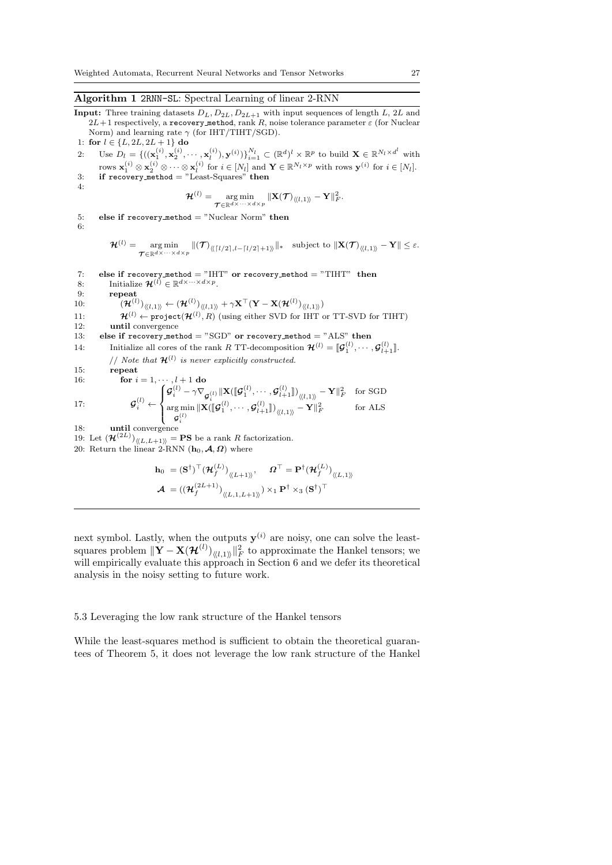**Input:** Three training datasets  $D_L$ ,  $D_{2L}$ ,  $D_{2L+1}$  with input sequences of length L, 2L and  $2L+1$  respectively, a recovery method, rank R, noise tolerance parameter  $\varepsilon$  (for Nuclear Norm) and learning rate  $\gamma$  (for IHT/TIHT/SGD). 1: for  $l \in \{L, 2L, 2L + 1\}$  do

2: Use  $D_l = \{((\mathbf{x}_1^{(i)}, \mathbf{x}_2^{(i)}, \cdots, \mathbf{x}_l^{(i)}), \mathbf{y}^{(i)})\}_{i=1}^{N_l} \subset (\mathbb{R}^d)^l \times \mathbb{R}^p$  to build  $\mathbf{X} \in \mathbb{R}^{N_l \times d^l}$  with rows  $\mathbf{x}_1^{(i)} \otimes \mathbf{x}_2^{(i)} \otimes \cdots \otimes \mathbf{x}_l^{(i)}$  for  $i \in [N_l]$  and  $\mathbf{Y} \in \mathbb{R}^{N_l \times p}$  with rows  $\mathbf{y}^{(i)}$  for  $i \in [N_l]$ . 3: if recovery method = "Least-Squares" then

4:

6:

$$
\mathcal{H}^{(l)} = \mathop{\arg\min}_{\boldsymbol{\mathcal{T}} \in \mathbb{R}^{d \times \cdots \times d \times p}} \| \mathbf{X}(\boldsymbol{\mathcal{T}})_{\langle \langle l,1 \rangle \rangle} - \mathbf{Y} \|_F^2.
$$

5: else if  $recovery_method = "Nuclear Norm" then$ 

 $\begin{split} \mathcal{H}^{(l)} = \mathop{\arg\min}_{\mathcal{T} \in \mathbb{R}^{d \times \cdots \times d \times p}} \|(\mathcal{T})_{\langle\!\langle \lceil l/2 \rceil, l - \lceil l/2 \rceil + 1 \rangle\!\rangle} \|_{*} \quad \text{subject to } \| \mathbf{X}(\mathcal{T})_{\langle\!\langle l, 1 \rangle\!\rangle} - \mathbf{Y} \| \leq \varepsilon. \end{split}$ 

7: else if recovery method = "IHT" or recovery method = "TIHT" then<br>8: Initialize  $\mathcal{H}^{(l)} \in \mathbb{R}^{d \times \cdots \times d \times p}$ . 9: repeat 10:  $(\mathcal{H}^{(l)})_{\langle\langle l,1\rangle\rangle} \leftarrow (\mathcal{H}^{(l)})_{\langle\langle l,1\rangle\rangle} + \gamma \mathbf{X}^{\top} (\mathbf{Y} - \mathbf{X}(\mathcal{H}^{(l)})_{\langle\langle l,1\rangle\rangle})$ 11:  $\mathcal{H}^{(l)} \leftarrow \texttt{project}(\mathcal{H}^{(l)}, R)$  (using either SVD for IHT or TT-SVD for TIHT) 12: until convergence 13: else if recovery method = "SGD" or recovery method = "ALS" then 14: Initialize all cores of the rank R TT-decomposition  $\mathcal{H}^{(l)} = [\mathcal{G}_1^{(l)}, \cdots, \mathcal{G}_{l+1}^{(l)}]$ . // Note that  $\mathcal{H}^{(l)}$  is never explicitly constructed. 15: repeat 16: **for**  $i = 1, \dots, l + 1$  do  $17:$  $i^{(l)} \leftarrow$  $\int$  $\mathcal{L}$  $\mathcal{G}_i^{(l)} - \gamma \nabla_{\mathcal{G}_i^{(l)}}\|\mathbf{X}(\llbracket \mathcal{G}_1^{(l)},\cdots,\mathcal{G}_{l+1}^{(l)}\rrbracket)_{\langle\langle l,1\rangle\rangle} - \mathbf{Y}\|_F^2\quad\text{for SGD}$ arg min  $\mathbf{g} \min_{\mathbf{\mathcal{G}}_i^{(l)}} \|\mathbf{X}( \llbracket \mathbf{\mathcal{G}}_1^{(l)}, \cdots, \mathbf{\mathcal{G}}_{l+1}^{(l)} \|)_{\langle \langle l,1 \rangle \rangle} - \mathbf{Y} \|^2_F \qquad \qquad \text{for ALS}$ 18: until convergence 19: Let  $(\mathcal{H}^{(2L)})_{\langle\langle L,L+1\rangle\rangle} = \mathbf{PS}$  be a rank R factorization. 20: Return the linear 2-RNN  $(h_0, \mathcal{A}, \Omega)$  where  $(T)$ 

$$
\mathbf{h}_0 = (\mathbf{S}^{\dagger})^{\top} (\mathcal{H}_f^{(L)})_{\langle L+1 \rangle}, \quad \mathbf{\Omega}^{\top} = \mathbf{P}^{\dagger} (\mathcal{H}_f^{(L)})_{\langle L,1 \rangle}
$$

$$
\mathcal{A} = ((\mathcal{H}_f^{(2L+1)})_{\langle L,1,L+1 \rangle}) \times_1 \mathbf{P}^{\dagger} \times_3 (\mathbf{S}^{\dagger})^{\top}
$$

next symbol. Lastly, when the outputs  $y^{(i)}$  are noisy, one can solve the leastsquares problem  $\|\mathbf{Y}-\mathbf{X}(\mathcal{H}^{(l)})_{\langle\langle l,1\rangle\rangle}\|_F^2$  to approximate the Hankel tensors; we will empirically evaluate this approach in Section 6 and we defer its theoretical analysis in the noisy setting to future work.

# 5.3 Leveraging the low rank structure of the Hankel tensors

While the least-squares method is sufficient to obtain the theoretical guarantees of Theorem 5, it does not leverage the low rank structure of the Hankel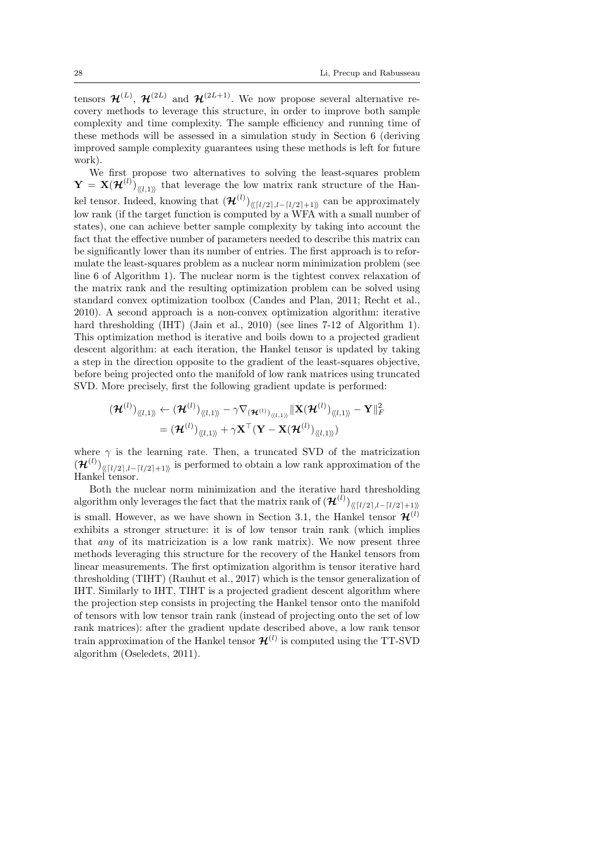tensors  $\mathcal{H}^{(L)}$ ,  $\mathcal{H}^{(2L)}$  and  $\mathcal{H}^{(2L+1)}$ . We now propose several alternative recovery methods to leverage this structure, in order to improve both sample complexity and time complexity. The sample efficiency and running time of these methods will be assessed in a simulation study in Section 6 (deriving improved sample complexity guarantees using these methods is left for future work).

We first propose two alternatives to solving the least-squares problem  $\mathbf{Y} = \mathbf{X}(\mathcal{H}^{(l)})_{\langle\langle l,1\rangle\rangle}$  that leverage the low matrix rank structure of the Hankel tensor. Indeed, knowing that  $(\mathcal{H}^{(l)})_{\langle\langle \lceil l/2 \rceil, l - \lceil l/2 \rceil + 1 \rangle\rangle}$  can be approximately low rank (if the target function is computed by a WFA with a small number of states), one can achieve better sample complexity by taking into account the fact that the effective number of parameters needed to describe this matrix can be significantly lower than its number of entries. The first approach is to reformulate the least-squares problem as a nuclear norm minimization problem (see line 6 of Algorithm 1). The nuclear norm is the tightest convex relaxation of the matrix rank and the resulting optimization problem can be solved using standard convex optimization toolbox (Candes and Plan, 2011; Recht et al., 2010). A second approach is a non-convex optimization algorithm: iterative hard thresholding (IHT) (Jain et al., 2010) (see lines 7-12 of Algorithm 1). This optimization method is iterative and boils down to a projected gradient descent algorithm: at each iteration, the Hankel tensor is updated by taking a step in the direction opposite to the gradient of the least-squares objective, before being projected onto the manifold of low rank matrices using truncated SVD. More precisely, first the following gradient update is performed:

$$
\begin{aligned} &(\boldsymbol{\mathcal{H}}^{(l)})_{\langle\!\langle l,1\rangle\!\rangle} \leftarrow (\boldsymbol{\mathcal{H}}^{(l)})_{\langle\!\langle l,1\rangle\!\rangle} - \gamma \nabla_{(\boldsymbol{\mathcal{H}}^{(l)})_{\langle\!\langle l,1\rangle\!\rangle}}\|\mathbf{X}(\boldsymbol{\mathcal{H}}^{(l)})_{\langle\!\langle l,1\rangle\!\rangle} - \mathbf{Y}\|_F^2 \\ & = (\boldsymbol{\mathcal{H}}^{(l)})_{\langle\!\langle l,1\rangle\!\rangle} + \gamma \mathbf{X}^\top (\mathbf{Y} - \mathbf{X}(\boldsymbol{\mathcal{H}}^{(l)})_{\langle\!\langle l,1\rangle\!\rangle}) \end{aligned}
$$

where  $\gamma$  is the learning rate. Then, a truncated SVD of the matricization  $(\mathcal{H}^{(l)})_{\langle\langle l/2],l-[l/2]+1\rangle}$  is performed to obtain a low rank approximation of the Hankel tensor.

Both the nuclear norm minimization and the iterative hard thresholding algorithm only leverages the fact that the matrix rank of  $(\mathcal{H}^{(l)})_{\langle\langle \lceil l/2\rceil, l-\lceil l/2\rceil+1\rangle\rangle}$ is small. However, as we have shown in Section 3.1, the Hankel tensor  $\mathcal{H}^{(l)}$ exhibits a stronger structure: it is of low tensor train rank (which implies that any of its matricization is a low rank matrix). We now present three methods leveraging this structure for the recovery of the Hankel tensors from linear measurements. The first optimization algorithm is tensor iterative hard thresholding (TIHT) (Rauhut et al., 2017) which is the tensor generalization of IHT. Similarly to IHT, TIHT is a projected gradient descent algorithm where the projection step consists in projecting the Hankel tensor onto the manifold of tensors with low tensor train rank (instead of projecting onto the set of low rank matrices): after the gradient update described above, a low rank tensor train approximation of the Hankel tensor  $\mathcal{H}^{(l)}$  is computed using the TT-SVD algorithm (Oseledets, 2011).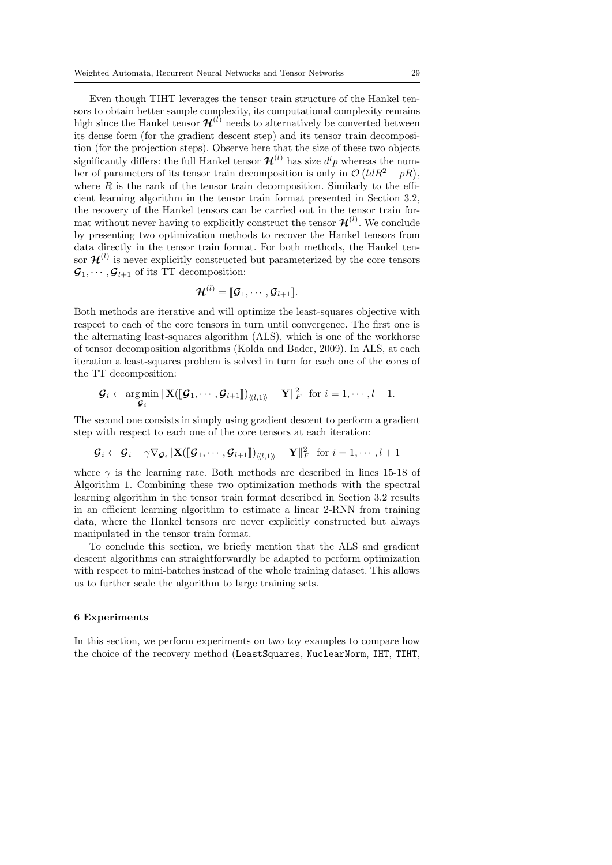Even though TIHT leverages the tensor train structure of the Hankel tensors to obtain better sample complexity, its computational complexity remains high since the Hankel tensor  $\mathcal{H}^{(l)}$  needs to alternatively be converted between its dense form (for the gradient descent step) and its tensor train decomposition (for the projection steps). Observe here that the size of these two objects significantly differs: the full Hankel tensor  $\mathcal{H}^{(l)}$  has size  $d^{l}p$  whereas the number of parameters of its tensor train decomposition is only in  $\mathcal{O}(ldR^2 + pR)$ , where  $R$  is the rank of the tensor train decomposition. Similarly to the efficient learning algorithm in the tensor train format presented in Section 3.2, the recovery of the Hankel tensors can be carried out in the tensor train format without never having to explicitly construct the tensor  $\mathcal{H}^{(l)}$ . We conclude by presenting two optimization methods to recover the Hankel tensors from data directly in the tensor train format. For both methods, the Hankel tensor  $\mathcal{H}^{(l)}$  is never explicitly constructed but parameterized by the core tensors  $\mathcal{G}_1, \cdots, \mathcal{G}_{l+1}$  of its TT decomposition:

$$
\boldsymbol{\mathcal{H}}^{(l)} = [\![\boldsymbol{\mathcal{G}}_1,\cdots,\boldsymbol{\mathcal{G}}_{l+1}]\!].
$$

Both methods are iterative and will optimize the least-squares objective with respect to each of the core tensors in turn until convergence. The first one is the alternating least-squares algorithm (ALS), which is one of the workhorse of tensor decomposition algorithms (Kolda and Bader, 2009). In ALS, at each iteration a least-squares problem is solved in turn for each one of the cores of the TT decomposition:

$$
\boldsymbol{\mathcal{G}}_i \leftarrow \operatorname*{arg\,min}_{\boldsymbol{\mathcal{G}}_i} \|\mathbf{X} (\llbracket \boldsymbol{\mathcal{G}}_1, \cdots, \boldsymbol{\mathcal{G}}_{l+1} \rrbracket)_{\langle\!\langle l, 1 \rangle\!\rangle} - \mathbf{Y} \|^2_F \ \text{ for } i = 1, \cdots, l+1.
$$

The second one consists in simply using gradient descent to perform a gradient step with respect to each one of the core tensors at each iteration:

$$
\mathcal{G}_i \leftarrow \mathcal{G}_i - \gamma \nabla_{\mathcal{G}_i} \|\mathbf{X}(\llbracket \mathcal{G}_1, \cdots, \mathcal{G}_{l+1} \rrbracket)_{\langle l,l\rangle} - \mathbf{Y} \|^2_F \text{ for } i = 1, \cdots, l+1
$$

where  $\gamma$  is the learning rate. Both methods are described in lines 15-18 of Algorithm 1. Combining these two optimization methods with the spectral learning algorithm in the tensor train format described in Section 3.2 results in an efficient learning algorithm to estimate a linear 2-RNN from training data, where the Hankel tensors are never explicitly constructed but always manipulated in the tensor train format.

To conclude this section, we briefly mention that the ALS and gradient descent algorithms can straightforwardly be adapted to perform optimization with respect to mini-batches instead of the whole training dataset. This allows us to further scale the algorithm to large training sets.

### 6 Experiments

In this section, we perform experiments on two toy examples to compare how the choice of the recovery method (LeastSquares, NuclearNorm, IHT, TIHT,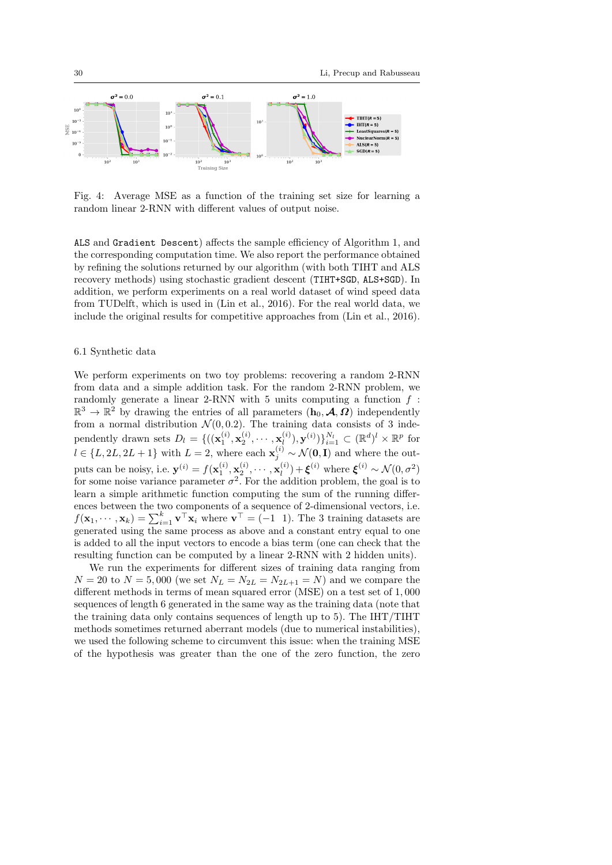

Fig. 4: Average MSE as a function of the training set size for learning a random linear 2-RNN with different values of output noise.

ALS and Gradient Descent) affects the sample efficiency of Algorithm 1, and the corresponding computation time. We also report the performance obtained by refining the solutions returned by our algorithm (with both TIHT and ALS recovery methods) using stochastic gradient descent (TIHT+SGD, ALS+SGD). In addition, we perform experiments on a real world dataset of wind speed data from TUDelft, which is used in (Lin et al., 2016). For the real world data, we include the original results for competitive approaches from (Lin et al., 2016).

# 6.1 Synthetic data

We perform experiments on two toy problems: recovering a random 2-RNN from data and a simple addition task. For the random 2-RNN problem, we randomly generate a linear 2-RNN with 5 units computing a function  $f$ :  $\mathbb{R}^3 \to \mathbb{R}^2$  by drawing the entries of all parameters  $(h_0, \mathcal{A}, \Omega)$  independently from a normal distribution  $\mathcal{N}(0, 0.2)$ . The training data consists of 3 independently drawn sets  $D_l = \{((\mathbf{x}_1^{(i)}, \mathbf{x}_2^{(i)}, \cdots, \mathbf{x}_l^{(i)}))\}$  $\{ \boldsymbol{w}_l^{(i)}), \mathbf{y}^{(i)} \} \}_{i=1}^{N_l} \subset (\mathbb{R}^d)^l \times \mathbb{R}^p$  for  $l \in \{L, 2L, 2L+1\}$  with  $L = 2$ , where each  $\mathbf{x}_{j}^{(i)} \sim \mathcal{N}(\mathbf{0}, \mathbf{I})$  and where the outputs can be noisy, i.e.  $\mathbf{y}^{(i)} = f(\mathbf{x}_1^{(i)}, \mathbf{x}_2^{(i)}, \cdots, \mathbf{x}_l^{(i)})$  $\mathbf{g}_l^{(i)}$  +  $\boldsymbol{\xi}^{(i)}$  where  $\boldsymbol{\xi}^{(i)} \sim \mathcal{N}(0, \sigma^2)$ for some noise variance parameter  $\sigma^2$ . For the addition problem, the goal is to learn a simple arithmetic function computing the sum of the running differences between the two components of a sequence of 2-dimensional vectors, i.e.  $f(\mathbf{x}_1,\dots,\mathbf{x}_k) = \sum_{i=1}^k \mathbf{v}^\top \mathbf{x}_i$  where  $\mathbf{v}^\top = (-1 \ 1)$ . The 3 training datasets are generated using the same process as above and a constant entry equal to one is added to all the input vectors to encode a bias term (one can check that the resulting function can be computed by a linear 2-RNN with 2 hidden units).

We run the experiments for different sizes of training data ranging from  $N = 20$  to  $N = 5,000$  (we set  $N_L = N_{2L} = N_{2L+1} = N$ ) and we compare the different methods in terms of mean squared error (MSE) on a test set of 1, 000 sequences of length 6 generated in the same way as the training data (note that the training data only contains sequences of length up to 5). The IHT/TIHT methods sometimes returned aberrant models (due to numerical instabilities), we used the following scheme to circumvent this issue: when the training MSE of the hypothesis was greater than the one of the zero function, the zero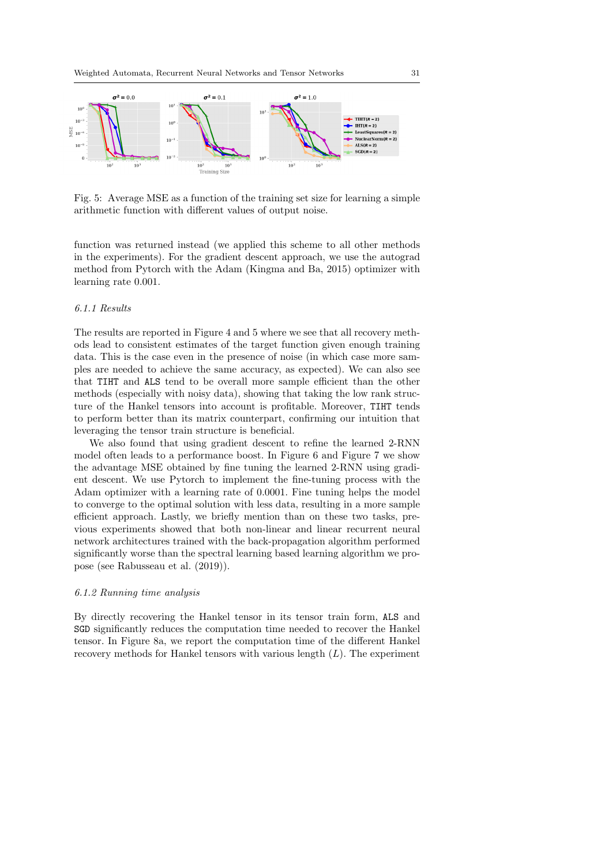

Fig. 5: Average MSE as a function of the training set size for learning a simple arithmetic function with different values of output noise.

function was returned instead (we applied this scheme to all other methods in the experiments). For the gradient descent approach, we use the autograd method from Pytorch with the Adam (Kingma and Ba, 2015) optimizer with learning rate 0.001.

# 6.1.1 Results

The results are reported in Figure 4 and 5 where we see that all recovery methods lead to consistent estimates of the target function given enough training data. This is the case even in the presence of noise (in which case more samples are needed to achieve the same accuracy, as expected). We can also see that TIHT and ALS tend to be overall more sample efficient than the other methods (especially with noisy data), showing that taking the low rank structure of the Hankel tensors into account is profitable. Moreover, TIHT tends to perform better than its matrix counterpart, confirming our intuition that leveraging the tensor train structure is beneficial.

We also found that using gradient descent to refine the learned 2-RNN model often leads to a performance boost. In Figure 6 and Figure 7 we show the advantage MSE obtained by fine tuning the learned 2-RNN using gradient descent. We use Pytorch to implement the fine-tuning process with the Adam optimizer with a learning rate of 0.0001. Fine tuning helps the model to converge to the optimal solution with less data, resulting in a more sample efficient approach. Lastly, we briefly mention than on these two tasks, previous experiments showed that both non-linear and linear recurrent neural network architectures trained with the back-propagation algorithm performed significantly worse than the spectral learning based learning algorithm we propose (see Rabusseau et al. (2019)).

### 6.1.2 Running time analysis

By directly recovering the Hankel tensor in its tensor train form, ALS and SGD significantly reduces the computation time needed to recover the Hankel tensor. In Figure 8a, we report the computation time of the different Hankel recovery methods for Hankel tensors with various length  $(L)$ . The experiment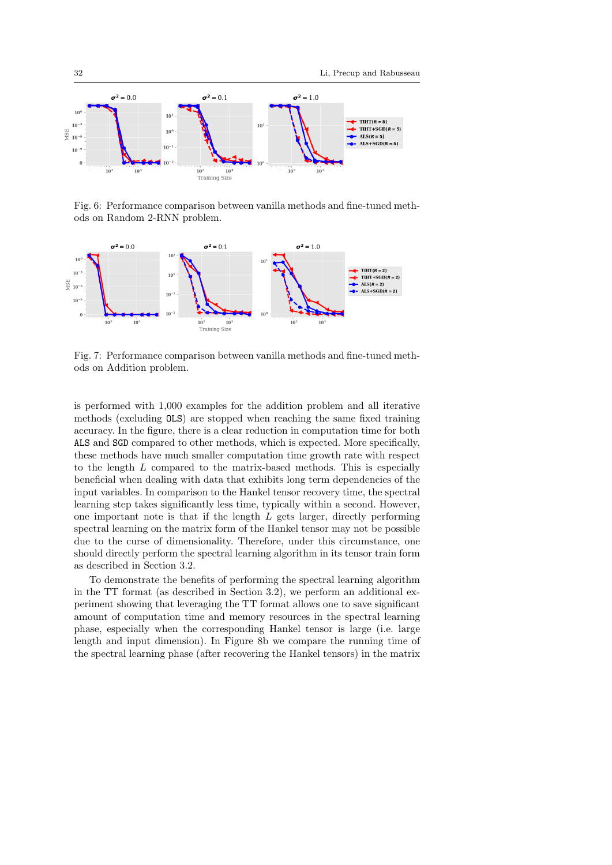

Fig. 6: Performance comparison between vanilla methods and fine-tuned methods on Random 2-RNN problem.



Fig. 7: Performance comparison between vanilla methods and fine-tuned methods on Addition problem.

is performed with 1,000 examples for the addition problem and all iterative methods (excluding OLS) are stopped when reaching the same fixed training accuracy. In the figure, there is a clear reduction in computation time for both ALS and SGD compared to other methods, which is expected. More specifically, these methods have much smaller computation time growth rate with respect to the length L compared to the matrix-based methods. This is especially beneficial when dealing with data that exhibits long term dependencies of the input variables. In comparison to the Hankel tensor recovery time, the spectral learning step takes significantly less time, typically within a second. However, one important note is that if the length  $L$  gets larger, directly performing spectral learning on the matrix form of the Hankel tensor may not be possible due to the curse of dimensionality. Therefore, under this circumstance, one should directly perform the spectral learning algorithm in its tensor train form as described in Section 3.2.

To demonstrate the benefits of performing the spectral learning algorithm in the TT format (as described in Section 3.2), we perform an additional experiment showing that leveraging the TT format allows one to save significant amount of computation time and memory resources in the spectral learning phase, especially when the corresponding Hankel tensor is large (i.e. large length and input dimension). In Figure 8b we compare the running time of the spectral learning phase (after recovering the Hankel tensors) in the matrix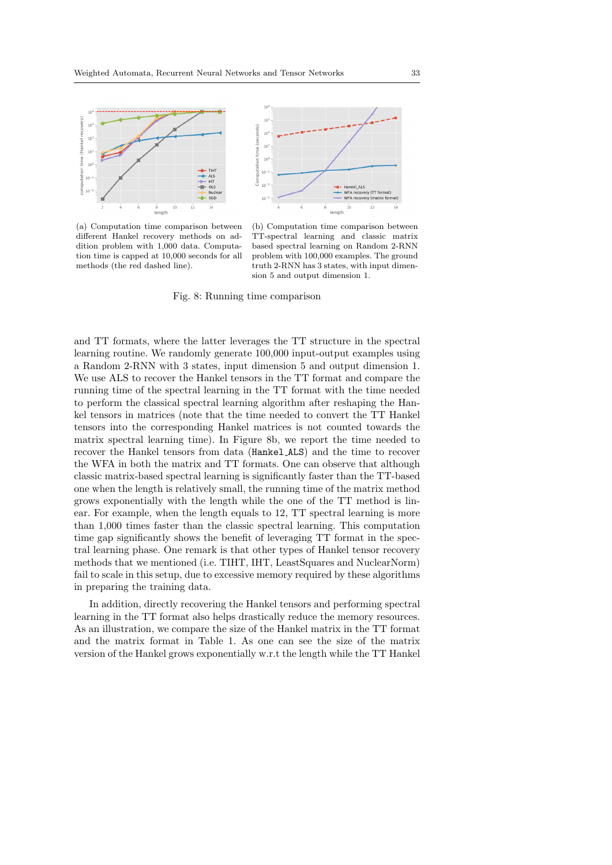

(a) Computation time comparison between different Hankel recovery methods on addition problem with 1,000 data. Computation time is capped at 10,000 seconds for all methods (the red dashed line).



(b) Computation time comparison between TT-spectral learning and classic matrix based spectral learning on Random 2-RNN problem with 100,000 examples. The ground truth 2-RNN has 3 states, with input dimension 5 and output dimension 1.

Fig. 8: Running time comparison

and TT formats, where the latter leverages the TT structure in the spectral learning routine. We randomly generate 100,000 input-output examples using a Random 2-RNN with 3 states, input dimension 5 and output dimension 1. We use ALS to recover the Hankel tensors in the TT format and compare the running time of the spectral learning in the TT format with the time needed to perform the classical spectral learning algorithm after reshaping the Hankel tensors in matrices (note that the time needed to convert the TT Hankel tensors into the corresponding Hankel matrices is not counted towards the matrix spectral learning time). In Figure 8b, we report the time needed to recover the Hankel tensors from data (Hankel ALS) and the time to recover the WFA in both the matrix and TT formats. One can observe that although classic matrix-based spectral learning is significantly faster than the TT-based one when the length is relatively small, the running time of the matrix method grows exponentially with the length while the one of the TT method is linear. For example, when the length equals to 12, TT spectral learning is more than 1,000 times faster than the classic spectral learning. This computation time gap significantly shows the benefit of leveraging TT format in the spectral learning phase. One remark is that other types of Hankel tensor recovery methods that we mentioned (i.e. TIHT, IHT, LeastSquares and NuclearNorm) fail to scale in this setup, due to excessive memory required by these algorithms in preparing the training data.

In addition, directly recovering the Hankel tensors and performing spectral learning in the TT format also helps drastically reduce the memory resources. As an illustration, we compare the size of the Hankel matrix in the TT format and the matrix format in Table 1. As one can see the size of the matrix version of the Hankel grows exponentially w.r.t the length while the TT Hankel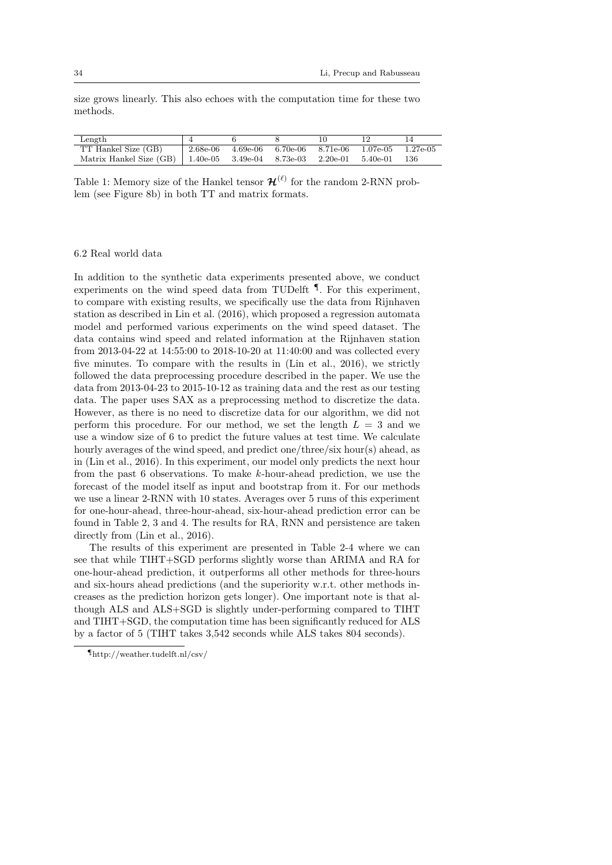size grows linearly. This also echoes with the computation time for these two methods.

| Length                                                                 |                                                               |  |  |       |
|------------------------------------------------------------------------|---------------------------------------------------------------|--|--|-------|
| TT Hankel Size (GB)                                                    | $\vert$ 2.68e-06 4.69e-06 6.70e-06 8.71e-06 1.07e-05 1.27e-05 |  |  |       |
| Matrix Hankel Size (GB)   1.40e-05 3.49e-04 8.73e-03 2.20e-01 5.40e-01 |                                                               |  |  | - 136 |

Table 1: Memory size of the Hankel tensor  $\mathcal{H}^{(\ell)}$  for the random 2-RNN problem (see Figure 8b) in both TT and matrix formats.

# 6.2 Real world data

In addition to the synthetic data experiments presented above, we conduct experiments on the wind speed data from TUDelft  $\P$ . For this experiment, to compare with existing results, we specifically use the data from Rijnhaven station as described in Lin et al. (2016), which proposed a regression automata model and performed various experiments on the wind speed dataset. The data contains wind speed and related information at the Rijnhaven station from 2013-04-22 at 14:55:00 to 2018-10-20 at 11:40:00 and was collected every five minutes. To compare with the results in (Lin et al., 2016), we strictly followed the data preprocessing procedure described in the paper. We use the data from 2013-04-23 to 2015-10-12 as training data and the rest as our testing data. The paper uses SAX as a preprocessing method to discretize the data. However, as there is no need to discretize data for our algorithm, we did not perform this procedure. For our method, we set the length  $L = 3$  and we use a window size of 6 to predict the future values at test time. We calculate hourly averages of the wind speed, and predict one/three/six hour(s) ahead, as in (Lin et al., 2016). In this experiment, our model only predicts the next hour from the past 6 observations. To make k-hour-ahead prediction, we use the forecast of the model itself as input and bootstrap from it. For our methods we use a linear 2-RNN with 10 states. Averages over 5 runs of this experiment for one-hour-ahead, three-hour-ahead, six-hour-ahead prediction error can be found in Table 2, 3 and 4. The results for RA, RNN and persistence are taken directly from (Lin et al., 2016).

The results of this experiment are presented in Table 2-4 where we can see that while TIHT+SGD performs slightly worse than ARIMA and RA for one-hour-ahead prediction, it outperforms all other methods for three-hours and six-hours ahead predictions (and the superiority w.r.t. other methods increases as the prediction horizon gets longer). One important note is that although ALS and ALS+SGD is slightly under-performing compared to TIHT and TIHT+SGD, the computation time has been significantly reduced for ALS by a factor of 5 (TIHT takes 3,542 seconds while ALS takes 804 seconds).

<sup>¶</sup>http://weather.tudelft.nl/csv/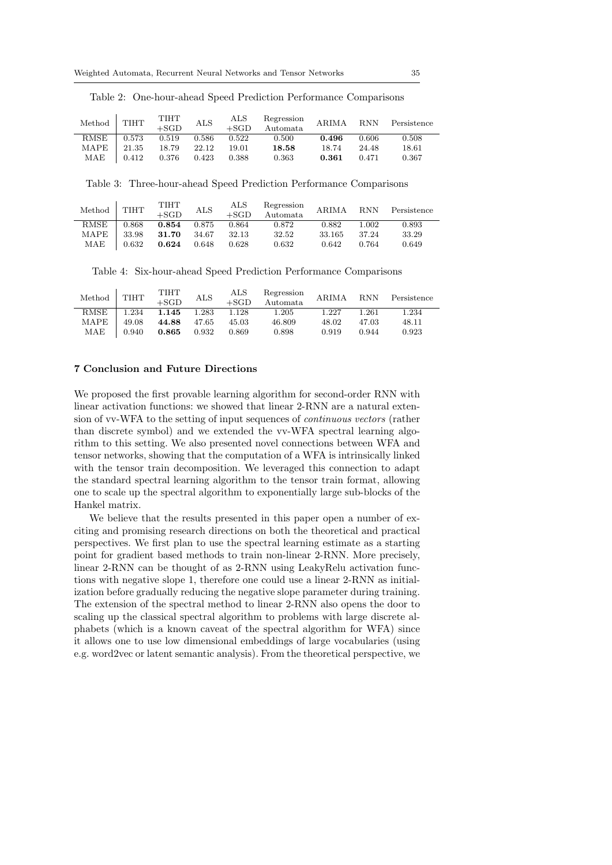| Method      | <b>TIHT</b> | TIHT<br>$+SGD$ | <b>ALS</b> | ALS<br>$+SGD$ | Regression<br>Automata. | ARIMA | <b>RNN</b> | Persistence |
|-------------|-------------|----------------|------------|---------------|-------------------------|-------|------------|-------------|
| <b>RMSE</b> | 0.573       | 0.519          | 0.586      | 0.522         | 0.500                   | 0.496 | 0.606      | 0.508       |
| <b>MAPE</b> | 21.35       | 18.79          | 22.12      | 19.01         | 18.58                   | 18.74 | 24.48      | $18.61\,$   |
| MAE         | 0.412       | 0.376          | 0.423      | 0.388         | 0.363                   | 0.361 | 0.471      | 0.367       |

Table 2: One-hour-ahead Speed Prediction Performance Comparisons

Table 3: Three-hour-ahead Speed Prediction Performance Comparisons

| Method | <b>TIHT</b> | TIHT<br>$+SGD$ | ALS   | ALS<br>$+SGD$ | Regression<br>Automata | ARIMA  | <b>RNN</b> | Persistence |
|--------|-------------|----------------|-------|---------------|------------------------|--------|------------|-------------|
| RMSE   | 0.868       | 0.854          | 0.875 | 0.864         | 0.872                  | 0.882  | 1.002      | 0.893       |
| MAPE   | 33.98       | 31.70          | 34.67 | 32.13         | 32.52                  | 33.165 | 37.24      | 33.29       |
| MAE    | 0.632       | 0.624          | 0.648 | 0.628         | 0.632                  | 0.642  | 0.764      | 0.649       |

Table 4: Six-hour-ahead Speed Prediction Performance Comparisons

| Method      | <b>TIHT</b> | TIHT<br>$+SGD$ | ALS   | ALS<br>$+SGD$ | Regression<br>Automata | <b>ARIMA</b> | <b>RNN</b> | Persistence |
|-------------|-------------|----------------|-------|---------------|------------------------|--------------|------------|-------------|
| <b>RMSE</b> | .234        | 1.145          | 1.283 | 1.128         | $1.205\,$              | 1.227        | 1.261      | 1.234       |
| MAPE        | 49.08       | 44.88          | 47.65 | 45.03         | 46.809                 | 48.02        | 47.03      | 48.11       |
| MAE         | 0.940       | 0.865          | 0.932 | 0.869         | 0.898                  | 0.919        | 0.944      | 0.923       |

### 7 Conclusion and Future Directions

We proposed the first provable learning algorithm for second-order RNN with linear activation functions: we showed that linear 2-RNN are a natural extension of vv-WFA to the setting of input sequences of continuous vectors (rather than discrete symbol) and we extended the vv-WFA spectral learning algorithm to this setting. We also presented novel connections between WFA and tensor networks, showing that the computation of a WFA is intrinsically linked with the tensor train decomposition. We leveraged this connection to adapt the standard spectral learning algorithm to the tensor train format, allowing one to scale up the spectral algorithm to exponentially large sub-blocks of the Hankel matrix.

We believe that the results presented in this paper open a number of exciting and promising research directions on both the theoretical and practical perspectives. We first plan to use the spectral learning estimate as a starting point for gradient based methods to train non-linear 2-RNN. More precisely, linear 2-RNN can be thought of as 2-RNN using LeakyRelu activation functions with negative slope 1, therefore one could use a linear 2-RNN as initialization before gradually reducing the negative slope parameter during training. The extension of the spectral method to linear 2-RNN also opens the door to scaling up the classical spectral algorithm to problems with large discrete alphabets (which is a known caveat of the spectral algorithm for WFA) since it allows one to use low dimensional embeddings of large vocabularies (using e.g. word2vec or latent semantic analysis). From the theoretical perspective, we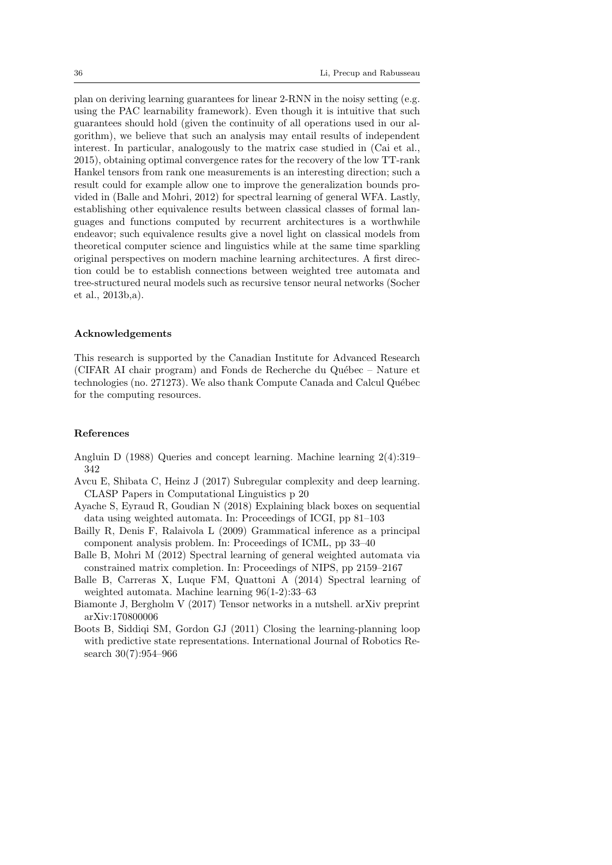plan on deriving learning guarantees for linear 2-RNN in the noisy setting (e.g. using the PAC learnability framework). Even though it is intuitive that such guarantees should hold (given the continuity of all operations used in our algorithm), we believe that such an analysis may entail results of independent interest. In particular, analogously to the matrix case studied in (Cai et al., 2015), obtaining optimal convergence rates for the recovery of the low TT-rank Hankel tensors from rank one measurements is an interesting direction; such a result could for example allow one to improve the generalization bounds provided in (Balle and Mohri, 2012) for spectral learning of general WFA. Lastly, establishing other equivalence results between classical classes of formal languages and functions computed by recurrent architectures is a worthwhile endeavor; such equivalence results give a novel light on classical models from theoretical computer science and linguistics while at the same time sparkling original perspectives on modern machine learning architectures. A first direction could be to establish connections between weighted tree automata and tree-structured neural models such as recursive tensor neural networks (Socher et al., 2013b,a).

# Acknowledgements

This research is supported by the Canadian Institute for Advanced Research (CIFAR AI chair program) and Fonds de Recherche du Québec – Nature et technologies (no. 271273). We also thank Compute Canada and Calcul Québec for the computing resources.

# References

- Angluin D (1988) Queries and concept learning. Machine learning 2(4):319– 342
- Avcu E, Shibata C, Heinz J (2017) Subregular complexity and deep learning. CLASP Papers in Computational Linguistics p 20
- Ayache S, Eyraud R, Goudian N (2018) Explaining black boxes on sequential data using weighted automata. In: Proceedings of ICGI, pp 81–103
- Bailly R, Denis F, Ralaivola L (2009) Grammatical inference as a principal component analysis problem. In: Proceedings of ICML, pp 33–40
- Balle B, Mohri M (2012) Spectral learning of general weighted automata via constrained matrix completion. In: Proceedings of NIPS, pp 2159–2167
- Balle B, Carreras X, Luque FM, Quattoni A (2014) Spectral learning of weighted automata. Machine learning 96(1-2):33–63
- Biamonte J, Bergholm V (2017) Tensor networks in a nutshell. arXiv preprint arXiv:170800006
- Boots B, Siddiqi SM, Gordon GJ (2011) Closing the learning-planning loop with predictive state representations. International Journal of Robotics Research 30(7):954–966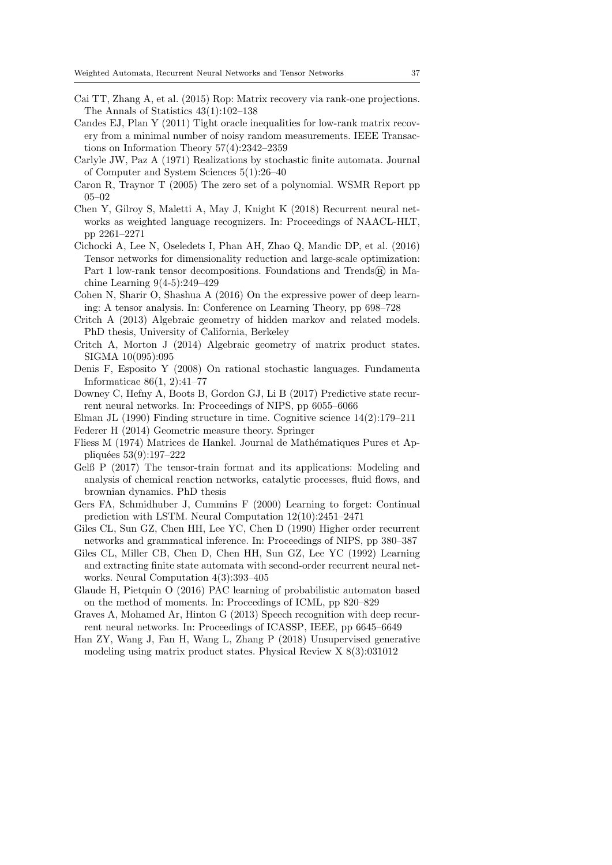- Cai TT, Zhang A, et al. (2015) Rop: Matrix recovery via rank-one projections. The Annals of Statistics 43(1):102–138
- Candes EJ, Plan Y (2011) Tight oracle inequalities for low-rank matrix recovery from a minimal number of noisy random measurements. IEEE Transactions on Information Theory 57(4):2342–2359
- Carlyle JW, Paz A (1971) Realizations by stochastic finite automata. Journal of Computer and System Sciences 5(1):26–40
- Caron R, Traynor T (2005) The zero set of a polynomial. WSMR Report pp 05–02
- Chen Y, Gilroy S, Maletti A, May J, Knight K (2018) Recurrent neural networks as weighted language recognizers. In: Proceedings of NAACL-HLT, pp 2261–2271
- Cichocki A, Lee N, Oseledets I, Phan AH, Zhao Q, Mandic DP, et al. (2016) Tensor networks for dimensionality reduction and large-scale optimization: Part 1 low-rank tensor decompositions. Foundations and Trends $\widehat{R}$  in Machine Learning 9(4-5):249–429
- Cohen N, Sharir O, Shashua A (2016) On the expressive power of deep learning: A tensor analysis. In: Conference on Learning Theory, pp 698–728
- Critch A (2013) Algebraic geometry of hidden markov and related models. PhD thesis, University of California, Berkeley
- Critch A, Morton J (2014) Algebraic geometry of matrix product states. SIGMA 10(095):095
- Denis F, Esposito Y (2008) On rational stochastic languages. Fundamenta Informaticae 86(1, 2):41–77
- Downey C, Hefny A, Boots B, Gordon GJ, Li B (2017) Predictive state recurrent neural networks. In: Proceedings of NIPS, pp 6055–6066
- Elman JL  $(1990)$  Finding structure in time. Cognitive science  $14(2):179-211$

Federer H (2014) Geometric measure theory. Springer

- Fliess M (1974) Matrices de Hankel. Journal de Mathématiques Pures et Appliquées 53(9):197-222
- Gelß P (2017) The tensor-train format and its applications: Modeling and analysis of chemical reaction networks, catalytic processes, fluid flows, and brownian dynamics. PhD thesis
- Gers FA, Schmidhuber J, Cummins F (2000) Learning to forget: Continual prediction with LSTM. Neural Computation 12(10):2451–2471
- Giles CL, Sun GZ, Chen HH, Lee YC, Chen D (1990) Higher order recurrent networks and grammatical inference. In: Proceedings of NIPS, pp 380–387
- Giles CL, Miller CB, Chen D, Chen HH, Sun GZ, Lee YC (1992) Learning and extracting finite state automata with second-order recurrent neural networks. Neural Computation 4(3):393–405
- Glaude H, Pietquin O (2016) PAC learning of probabilistic automaton based on the method of moments. In: Proceedings of ICML, pp 820–829
- Graves A, Mohamed Ar, Hinton G (2013) Speech recognition with deep recurrent neural networks. In: Proceedings of ICASSP, IEEE, pp 6645–6649
- Han ZY, Wang J, Fan H, Wang L, Zhang P (2018) Unsupervised generative modeling using matrix product states. Physical Review X 8(3):031012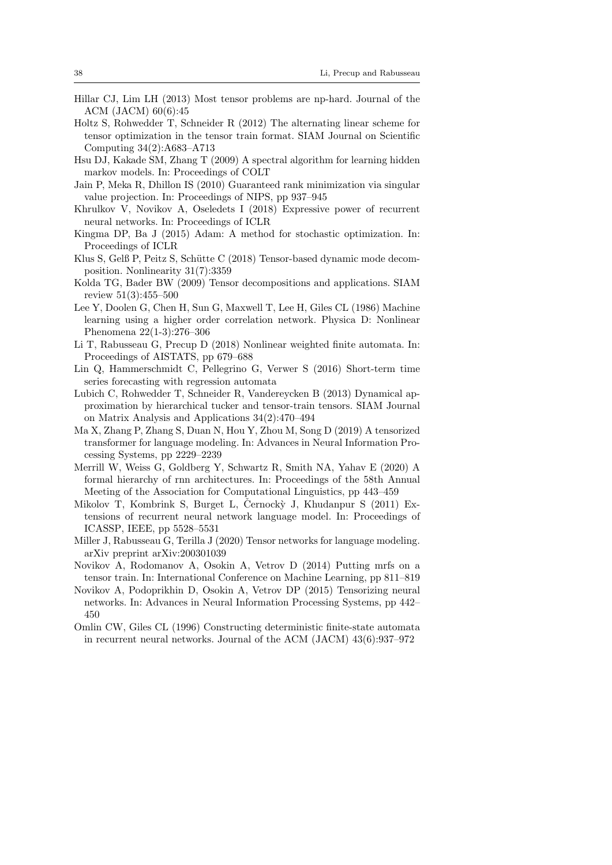- Hillar CJ, Lim LH (2013) Most tensor problems are np-hard. Journal of the ACM (JACM) 60(6):45
- Holtz S, Rohwedder T, Schneider R (2012) The alternating linear scheme for tensor optimization in the tensor train format. SIAM Journal on Scientific Computing 34(2):A683–A713
- Hsu DJ, Kakade SM, Zhang T (2009) A spectral algorithm for learning hidden markov models. In: Proceedings of COLT
- Jain P, Meka R, Dhillon IS (2010) Guaranteed rank minimization via singular value projection. In: Proceedings of NIPS, pp 937–945
- Khrulkov V, Novikov A, Oseledets I (2018) Expressive power of recurrent neural networks. In: Proceedings of ICLR
- Kingma DP, Ba J (2015) Adam: A method for stochastic optimization. In: Proceedings of ICLR
- Klus S, Gelß P, Peitz S, Schütte C (2018) Tensor-based dynamic mode decomposition. Nonlinearity 31(7):3359
- Kolda TG, Bader BW (2009) Tensor decompositions and applications. SIAM review 51(3):455–500
- Lee Y, Doolen G, Chen H, Sun G, Maxwell T, Lee H, Giles CL (1986) Machine learning using a higher order correlation network. Physica D: Nonlinear Phenomena 22(1-3):276–306
- Li T, Rabusseau G, Precup D (2018) Nonlinear weighted finite automata. In: Proceedings of AISTATS, pp 679–688
- Lin Q, Hammerschmidt C, Pellegrino G, Verwer S (2016) Short-term time series forecasting with regression automata
- Lubich C, Rohwedder T, Schneider R, Vandereycken B (2013) Dynamical approximation by hierarchical tucker and tensor-train tensors. SIAM Journal on Matrix Analysis and Applications 34(2):470–494
- Ma X, Zhang P, Zhang S, Duan N, Hou Y, Zhou M, Song D (2019) A tensorized transformer for language modeling. In: Advances in Neural Information Processing Systems, pp 2229–2239
- Merrill W, Weiss G, Goldberg Y, Schwartz R, Smith NA, Yahav E (2020) A formal hierarchy of rnn architectures. In: Proceedings of the 58th Annual Meeting of the Association for Computational Linguistics, pp 443–459
- Mikolov T, Kombrink S, Burget L, Černocký J, Khudanpur S (2011) Extensions of recurrent neural network language model. In: Proceedings of ICASSP, IEEE, pp 5528–5531
- Miller J, Rabusseau G, Terilla J (2020) Tensor networks for language modeling. arXiv preprint arXiv:200301039
- Novikov A, Rodomanov A, Osokin A, Vetrov D (2014) Putting mrfs on a tensor train. In: International Conference on Machine Learning, pp 811–819
- Novikov A, Podoprikhin D, Osokin A, Vetrov DP (2015) Tensorizing neural networks. In: Advances in Neural Information Processing Systems, pp 442– 450
- Omlin CW, Giles CL (1996) Constructing deterministic finite-state automata in recurrent neural networks. Journal of the ACM (JACM) 43(6):937–972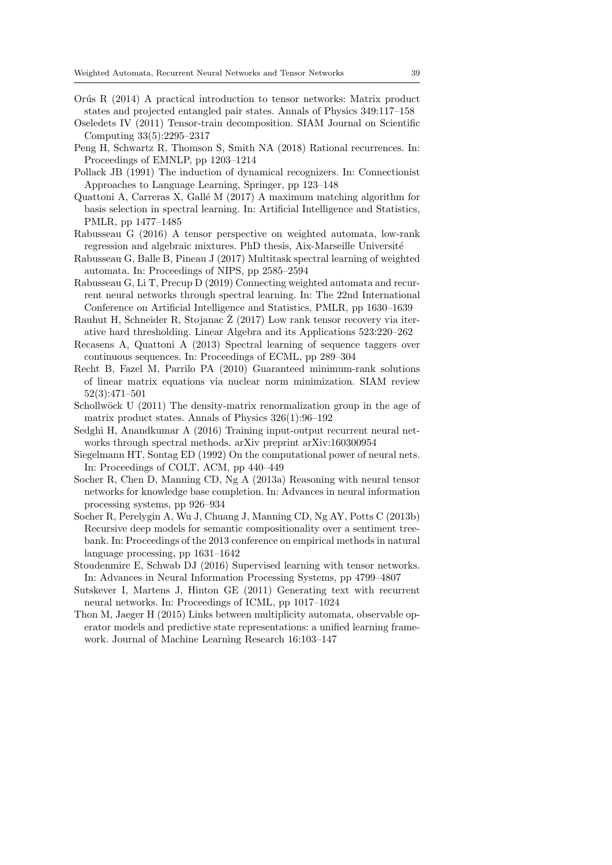- Orús R  $(2014)$  A practical introduction to tensor networks: Matrix product states and projected entangled pair states. Annals of Physics 349:117–158
- Oseledets IV (2011) Tensor-train decomposition. SIAM Journal on Scientific Computing 33(5):2295–2317
- Peng H, Schwartz R, Thomson S, Smith NA (2018) Rational recurrences. In: Proceedings of EMNLP, pp 1203–1214
- Pollack JB (1991) The induction of dynamical recognizers. In: Connectionist Approaches to Language Learning, Springer, pp 123–148
- Quattoni A, Carreras X, Gallé M  $(2017)$  A maximum matching algorithm for basis selection in spectral learning. In: Artificial Intelligence and Statistics, PMLR, pp 1477–1485
- Rabusseau G (2016) A tensor perspective on weighted automata, low-rank regression and algebraic mixtures. PhD thesis, Aix-Marseille Université
- Rabusseau G, Balle B, Pineau J (2017) Multitask spectral learning of weighted automata. In: Proceedings of NIPS, pp 2585–2594
- Rabusseau G, Li T, Precup D (2019) Connecting weighted automata and recurrent neural networks through spectral learning. In: The 22nd International Conference on Artificial Intelligence and Statistics, PMLR, pp 1630–1639
- Rauhut H, Schneider R, Stojanac  $\check{Z}$  (2017) Low rank tensor recovery via iterative hard thresholding. Linear Algebra and its Applications 523:220–262
- Recasens A, Quattoni A (2013) Spectral learning of sequence taggers over continuous sequences. In: Proceedings of ECML, pp 289–304
- Recht B, Fazel M, Parrilo PA (2010) Guaranteed minimum-rank solutions of linear matrix equations via nuclear norm minimization. SIAM review 52(3):471–501
- Schollwöck U  $(2011)$  The density-matrix renormalization group in the age of matrix product states. Annals of Physics 326(1):96–192
- Sedghi H, Anandkumar A (2016) Training input-output recurrent neural networks through spectral methods. arXiv preprint arXiv:160300954
- Siegelmann HT, Sontag ED (1992) On the computational power of neural nets. In: Proceedings of COLT, ACM, pp 440–449
- Socher R, Chen D, Manning CD, Ng A (2013a) Reasoning with neural tensor networks for knowledge base completion. In: Advances in neural information processing systems, pp 926–934
- Socher R, Perelygin A, Wu J, Chuang J, Manning CD, Ng AY, Potts C (2013b) Recursive deep models for semantic compositionality over a sentiment treebank. In: Proceedings of the 2013 conference on empirical methods in natural language processing, pp 1631–1642
- Stoudenmire E, Schwab DJ (2016) Supervised learning with tensor networks. In: Advances in Neural Information Processing Systems, pp 4799–4807
- Sutskever I, Martens J, Hinton GE (2011) Generating text with recurrent neural networks. In: Proceedings of ICML, pp 1017–1024
- Thon M, Jaeger H (2015) Links between multiplicity automata, observable operator models and predictive state representations: a unified learning framework. Journal of Machine Learning Research 16:103–147